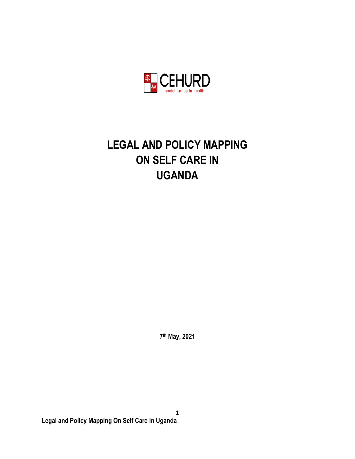

# **LEGAL AND POLICY MAPPING ON SELF CARE IN UGANDA**

**7 th May, 2021**

1 **Legal and Policy Mapping On Self Care in Uganda**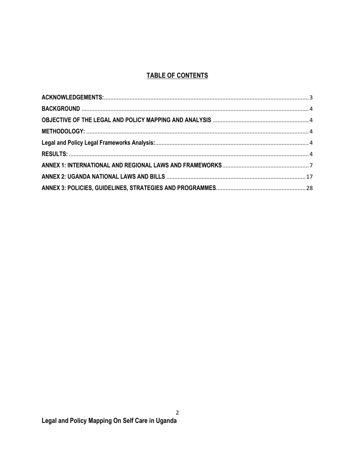# **TABLE OF CONTENTS**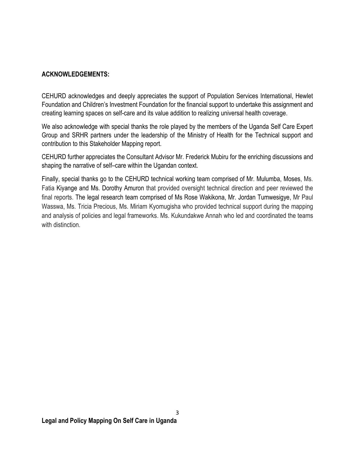#### <span id="page-2-0"></span>**ACKNOWLEDGEMENTS:**

CEHURD acknowledges and deeply appreciates the support of Population Services International, Hewlet Foundation and Children's Investment Foundation for the financial support to undertake this assignment and creating learning spaces on self-care and its value addition to realizing universal health coverage.

We also acknowledge with special thanks the role played by the members of the Uganda Self Care Expert Group and SRHR partners under the leadership of the Ministry of Health for the Technical support and contribution to this Stakeholder Mapping report.

CEHURD further appreciates the Consultant Advisor Mr. Frederick Mubiru for the enriching discussions and shaping the narrative of self–care within the Ugandan context.

Finally, special thanks go to the CEHURD technical working team comprised of Mr. Mulumba, Moses, Ms. Fatia Kiyange and Ms. Dorothy Amuron that provided oversight technical direction and peer reviewed the final reports. The legal research team comprised of Ms Rose Wakikona, Mr. Jordan Tumwesigye, Mr Paul Wasswa, Ms. Tricia Precious, Ms. Miriam Kyomugisha who provided technical support during the mapping and analysis of policies and legal frameworks. Ms. Kukundakwe Annah who led and coordinated the teams with distinction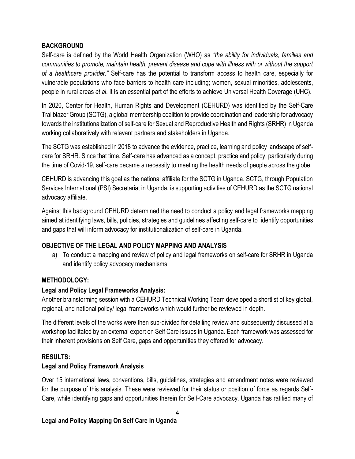#### <span id="page-3-0"></span>**BACKGROUND**

Self-care is defined by the World Health Organization (WHO) as *"the ability for individuals, families and communities to promote, maintain health, prevent disease and cope with illness with or without the support of a healthcare provider."* Self-care has the potential to transform access to health care, especially for vulnerable populations who face barriers to health care including; women, sexual minorities, adolescents, people in rural areas *et al*. It is an essential part of the efforts to achieve Universal Health Coverage (UHC).

In 2020, Center for Health, Human Rights and Development (CEHURD) was identified by the Self-Care Trailblazer Group (SCTG), a global membership coalition to provide coordination and leadership for advocacy towards the institutionalization of self-care for Sexual and Reproductive Health and Rights (SRHR) in Uganda working collaboratively with relevant partners and stakeholders in Uganda.

The SCTG was established in 2018 to advance the evidence, practice, learning and policy landscape of selfcare for SRHR. Since that time, Self-care has advanced as a concept, practice and policy, particularly during the time of Covid-19, self-care became a necessity to meeting the health needs of people across the globe.

CEHURD is advancing this goal as the national affiliate for the SCTG in Uganda. SCTG, through Population Services International (PSI) Secretariat in Uganda, is supporting activities of CEHURD as the SCTG national advocacy affiliate.

Against this background CEHURD determined the need to conduct a policy and legal frameworks mapping aimed at identifying laws, bills, policies, strategies and guidelines affecting self-care to identify opportunities and gaps that will inform advocacy for institutionalization of self-care in Uganda.

## <span id="page-3-1"></span>**OBJECTIVE OF THE LEGAL AND POLICY MAPPING AND ANALYSIS**

a) To conduct a mapping and review of policy and legal frameworks on self-care for SRHR in Uganda and identify policy advocacy mechanisms.

## <span id="page-3-2"></span>**METHODOLOGY:**

## <span id="page-3-3"></span>**Legal and Policy Legal Frameworks Analysis:**

Another brainstorming session with a CEHURD Technical Working Team developed a shortlist of key global, regional, and national policy/ legal frameworks which would further be reviewed in depth.

The different levels of the works were then sub-divided for detailing review and subsequently discussed at a workshop facilitated by an external expert on Self Care issues in Uganda. Each framework was assessed for their inherent provisions on Self Care, gaps and opportunities they offered for advocacy.

## <span id="page-3-4"></span>**RESULTS:**

#### **Legal and Policy Framework Analysis**

Over 15 international laws, conventions, bills, guidelines, strategies and amendment notes were reviewed for the purpose of this analysis. These were reviewed for their status or position of force as regards Self-Care, while identifying gaps and opportunities therein for Self-Care advocacy. Uganda has ratified many of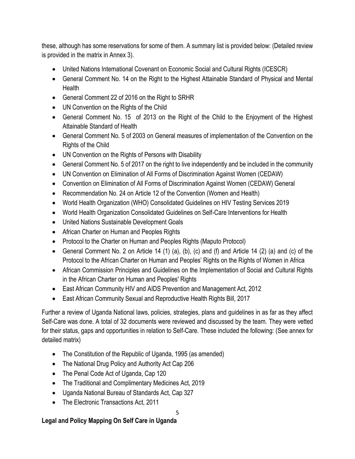these, although has some reservations for some of them. A summary list is provided below: (Detailed review is provided in the matrix in Annex 3).

- United Nations International Covenant on Economic Social and Cultural Rights (ICESCR)
- General Comment No. 14 on the Right to the Highest Attainable Standard of Physical and Mental **Health**
- General Comment 22 of 2016 on the Right to SRHR
- UN Convention on the Rights of the Child
- General Comment No. 15 of 2013 on the Right of the Child to the Enjoyment of the Highest Attainable Standard of Health
- General Comment No. 5 of 2003 on General measures of implementation of the Convention on the Rights of the Child
- UN Convention on the Rights of Persons with Disability
- General Comment No. 5 of 2017 on the right to live independently and be included in the community
- UN Convention on Elimination of All Forms of Discrimination Against Women (CEDAW)
- Convention on Elimination of All Forms of Discrimination Against Women (CEDAW) General
- Recommendation No. 24 on Article 12 of the Convention (Women and Health)
- World Health Organization (WHO) Consolidated Guidelines on HIV Testing Services 2019
- World Health Organization Consolidated Guidelines on Self-Care Interventions for Health
- United Nations Sustainable Development Goals
- African Charter on Human and Peoples Rights
- Protocol to the Charter on Human and Peoples Rights (Maputo Protocol)
- General Comment No. 2 on Article 14 (1) (a), (b), (c) and (f) and Article 14 (2) (a) and (c) of the Protocol to the African Charter on Human and Peoples' Rights on the Rights of Women in Africa
- African Commission Principles and Guidelines on the Implementation of Social and Cultural Rights in the African Charter on Human and Peoples' Rights
- East African Community HIV and AIDS Prevention and Management Act, 2012
- East African Community Sexual and Reproductive Health Rights Bill, 2017

Further a review of Uganda National laws, policies, strategies, plans and guidelines in as far as they affect Self-Care was done. A total of 32 documents were reviewed and discussed by the team. They were vetted for their status, gaps and opportunities in relation to Self-Care. These included the following: (See annex for detailed matrix)

- The Constitution of the Republic of Uganda, 1995 (as amended)
- The National Drug Policy and Authority Act Cap 206
- The Penal Code Act of Uganda, Cap 120
- The Traditional and Complimentary Medicines Act, 2019
- Uganda National Bureau of Standards Act, Cap 327
- The Electronic Transactions Act, 2011

## **Legal and Policy Mapping On Self Care in Uganda**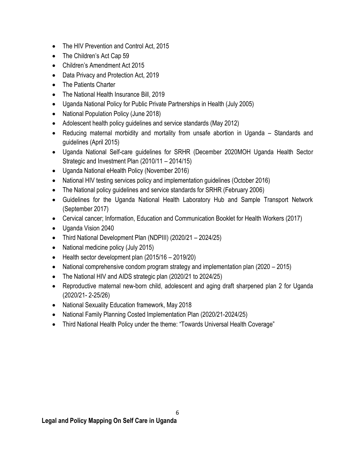- The HIV Prevention and Control Act, 2015
- The Children's Act Cap 59
- Children's Amendment Act 2015
- Data Privacy and Protection Act, 2019
- The Patients Charter
- The National Health Insurance Bill, 2019
- Uganda National Policy for Public Private Partnerships in Health (July 2005)
- National Population Policy (June 2018)
- Adolescent health policy guidelines and service standards (May 2012)
- Reducing maternal morbidity and mortality from unsafe abortion in Uganda Standards and guidelines (April 2015)
- Uganda National Self-care guidelines for SRHR (December 2020MOH Uganda Health Sector Strategic and Investment Plan (2010/11 – 2014/15)
- Uganda National eHealth Policy (November 2016)
- National HIV testing services policy and implementation guidelines (October 2016)
- The National policy guidelines and service standards for SRHR (February 2006)
- Guidelines for the Uganda National Health Laboratory Hub and Sample Transport Network (September 2017)
- Cervical cancer; Information, Education and Communication Booklet for Health Workers (2017)
- Uganda Vision 2040
- Third National Development Plan (NDPIII) (2020/21 2024/25)
- National medicine policy (July 2015)
- $\bullet$  Health sector development plan (2015/16 2019/20)
- National comprehensive condom program strategy and implementation plan (2020 2015)
- The National HIV and AIDS strategic plan (2020/21 to 2024/25)
- Reproductive maternal new-born child, adolescent and aging draft sharpened plan 2 for Uganda (2020/21- 2-25/26)
- National Sexuality Education framework, May 2018
- National Family Planning Costed Implementation Plan (2020/21-2024/25)
- Third National Health Policy under the theme: "Towards Universal Health Coverage"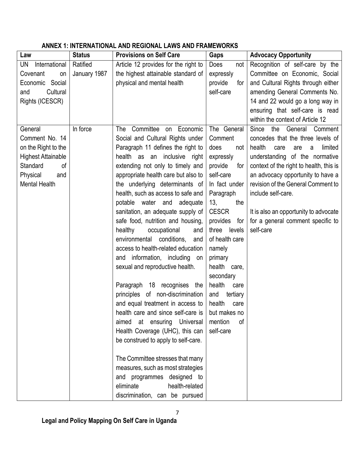| Law                       | <b>Status</b> | <b>Provisions on Self Care</b>       | Gaps            | <b>Advocacy Opportunity</b>             |
|---------------------------|---------------|--------------------------------------|-----------------|-----------------------------------------|
| International<br>UN       | Ratified      | Article 12 provides for the right to | Does<br>not     | Recognition of self-care by the         |
| Covenant<br>on            | January 1987  | the highest attainable standard of   | expressly       | Committee on Economic, Social           |
| Economic Social           |               | physical and mental health           | provide<br>for  | and Cultural Rights through either      |
| Cultural<br>and           |               |                                      | self-care       | amending General Comments No.           |
| Rights (ICESCR)           |               |                                      |                 | 14 and 22 would go a long way in        |
|                           |               |                                      |                 | ensuring that self-care is read         |
|                           |               |                                      |                 | within the context of Article 12        |
| General                   | In force      | Committee<br>on Economic<br>The      | The General     | the<br>Since<br>General<br>Comment      |
| Comment No. 14            |               | Social and Cultural Rights under     | Comment         | concedes that the three levels of       |
| on the Right to the       |               | Paragraph 11 defines the right to    | does<br>not     | health<br>limited<br>care<br>are<br>a   |
| <b>Highest Attainable</b> |               | health as an inclusive right         | expressly       | understanding of the normative          |
| Standard<br>οf            |               | extending not only to timely and     | provide<br>for  | context of the right to health, this is |
| Physical<br>and           |               | appropriate health care but also to  | self-care       | an advocacy opportunity to have a       |
| <b>Mental Health</b>      |               | the underlying determinants of       | In fact under   | revision of the General Comment to      |
|                           |               | health, such as access to safe and   | Paragraph       | include self-care.                      |
|                           |               | potable water and<br>adequate        | 13,<br>the      |                                         |
|                           |               | sanitation, an adequate supply of    | <b>CESCR</b>    | It is also an opportunity to advocate   |
|                           |               | safe food, nutrition and housing,    | provides<br>for | for a general comment specific to       |
|                           |               | healthy<br>occupational<br>and       | levels<br>three | self-care                               |
|                           |               | environmental conditions,<br>and     | of health care  |                                         |
|                           |               | access to health-related education   | namely          |                                         |
|                           |               | information, including<br>and<br>on  | primary         |                                         |
|                           |               | sexual and reproductive health.      | health care,    |                                         |
|                           |               |                                      | secondary       |                                         |
|                           |               | Paragraph 18 recognises the          | health<br>care  |                                         |
|                           |               | principles of non-discrimination     | and<br>tertiary |                                         |
|                           |               | and equal treatment in access to     | health<br>care  |                                         |
|                           |               | health care and since self-care is   | but makes no    |                                         |
|                           |               | aimed at ensuring Universal          | mention<br>οf   |                                         |
|                           |               | Health Coverage (UHC), this can      | self-care       |                                         |
|                           |               | be construed to apply to self-care.  |                 |                                         |
|                           |               |                                      |                 |                                         |
|                           |               | The Committee stresses that many     |                 |                                         |
|                           |               | measures, such as most strategies    |                 |                                         |
|                           |               | and programmes designed to           |                 |                                         |
|                           |               | health-related<br>eliminate          |                 |                                         |
|                           |               | discrimination, can be pursued       |                 |                                         |

#### <span id="page-6-0"></span>**ANNEX 1: INTERNATIONAL AND REGIONAL LAWS AND FRAMEWORKS**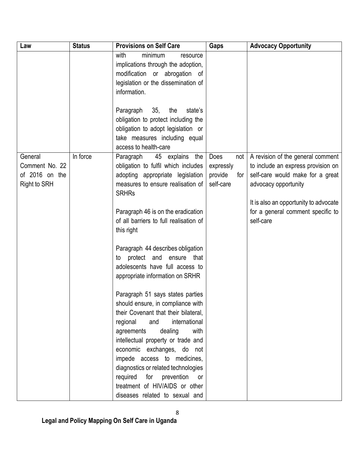| Law                                                                | <b>Status</b> | <b>Provisions on Self Care</b>                                                                                                                                                                                                                         | Gaps                                                    | <b>Advocacy Opportunity</b>                                                                                                                                                  |
|--------------------------------------------------------------------|---------------|--------------------------------------------------------------------------------------------------------------------------------------------------------------------------------------------------------------------------------------------------------|---------------------------------------------------------|------------------------------------------------------------------------------------------------------------------------------------------------------------------------------|
|                                                                    |               | with<br>minimum<br>resource<br>implications through the adoption,<br>modification or abrogation of<br>legislation or the dissemination of<br>information.<br>Paragraph<br>35,<br>the<br>state's                                                        |                                                         |                                                                                                                                                                              |
|                                                                    |               | obligation to protect including the<br>obligation to adopt legislation or<br>take measures including equal<br>access to health-care                                                                                                                    |                                                         |                                                                                                                                                                              |
| General<br>Comment No. 22<br>of 2016 on the<br><b>Right to SRH</b> | In force      | 45 explains the<br>Paragraph<br>obligation to fulfil which includes<br>adopting appropriate legislation<br>measures to ensure realisation of<br><b>SRHRs</b>                                                                                           | Does<br>not<br>expressly<br>provide<br>for<br>self-care | A revision of the general comment<br>to include an express provision on<br>self-care would make for a great<br>advocacy opportunity<br>It is also an opportunity to advocate |
|                                                                    |               | Paragraph 46 is on the eradication<br>of all barriers to full realisation of<br>this right                                                                                                                                                             |                                                         | for a general comment specific to<br>self-care                                                                                                                               |
|                                                                    |               | Paragraph 44 describes obligation<br>protect and<br>ensure<br>that<br>to<br>adolescents have full access to<br>appropriate information on SRHR                                                                                                         |                                                         |                                                                                                                                                                              |
|                                                                    |               | Paragraph 51 says states parties<br>should ensure, in compliance with<br>their Covenant that their bilateral,<br>international<br>and<br>regional<br>dealing<br>with<br>agreements<br>intellectual property or trade and<br>economic exchanges, do not |                                                         |                                                                                                                                                                              |
|                                                                    |               | impede access to medicines,<br>diagnostics or related technologies<br>required for prevention<br>or<br>treatment of HIV/AIDS or other<br>diseases related to sexual and                                                                                |                                                         |                                                                                                                                                                              |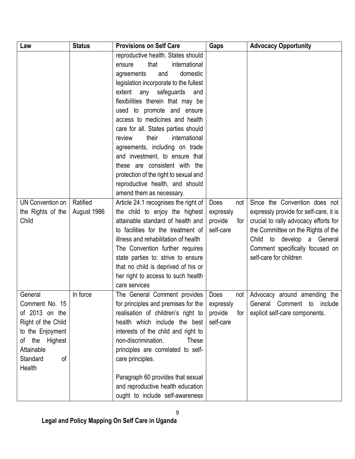| Law                | <b>Status</b> | <b>Provisions on Self Care</b>         | Gaps           | <b>Advocacy Opportunity</b>            |
|--------------------|---------------|----------------------------------------|----------------|----------------------------------------|
|                    |               | reproductive health. States should     |                |                                        |
|                    |               | international<br>that<br>ensure        |                |                                        |
|                    |               | domestic<br>and<br>agreements          |                |                                        |
|                    |               | legislation incorporate to the fullest |                |                                        |
|                    |               | safeguards<br>extent<br>any<br>and     |                |                                        |
|                    |               | flexibilities therein that may be      |                |                                        |
|                    |               | used to promote and ensure             |                |                                        |
|                    |               | access to medicines and health         |                |                                        |
|                    |               | care for all. States parties should    |                |                                        |
|                    |               | their<br>international<br>review       |                |                                        |
|                    |               | agreements, including on trade         |                |                                        |
|                    |               | and investment, to ensure that         |                |                                        |
|                    |               | these are consistent with the          |                |                                        |
|                    |               | protection of the right to sexual and  |                |                                        |
|                    |               | reproductive health, and should        |                |                                        |
|                    |               | amend them as necessary.               |                |                                        |
| UN Convention on   | Ratified      | Article 24.1 recognises the right of   | Does<br>not    | Since the Convention does not          |
| the Rights of the  | August 1986   | the child to enjoy the highest         | expressly      | expressly provide for self-care, it is |
| Child              |               | attainable standard of health and      | provide<br>for | crucial to rally advocacy efforts for  |
|                    |               | to facilities for the treatment of     | self-care      | the Committee on the Rights of the     |
|                    |               | illness and rehabilitation of health   |                | Child to develop a General             |
|                    |               | The Convention further requires        |                | Comment specifically focused on        |
|                    |               | state parties to: strive to ensure     |                | self-care for children                 |
|                    |               | that no child is deprived of his or    |                |                                        |
|                    |               | her right to access to such health     |                |                                        |
|                    |               | care services                          |                |                                        |
| General            | In force      | The General Comment provides           | Does<br>not    | Advocacy around amending the           |
| Comment No. 15     |               | for principles and premises for the    | expressly      | General Comment to<br>include          |
| of 2013 on the     |               | realisation of children's right to     | provide<br>for | explicit self-care components.         |
| Right of the Child |               | health which include the best          | self-care      |                                        |
| to the Enjoyment   |               | interests of the child and right to    |                |                                        |
| the Highest<br>of  |               | non-discrimination.<br><b>These</b>    |                |                                        |
| Attainable         |               | principles are correlated to self-     |                |                                        |
| Standard<br>of     |               | care principles.                       |                |                                        |
| Health             |               |                                        |                |                                        |
|                    |               | Paragraph 60 provides that sexual      |                |                                        |
|                    |               | and reproductive health education      |                |                                        |
|                    |               | ought to include self-awareness        |                |                                        |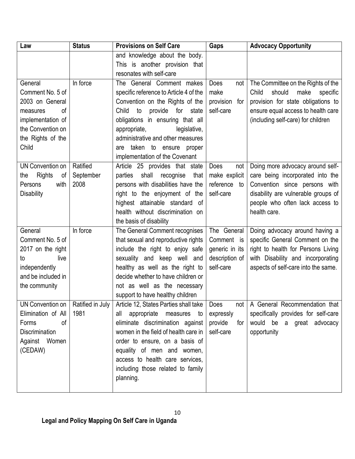| Law                     | <b>Status</b>    | <b>Provisions on Self Care</b>         | <b>Gaps</b>      | <b>Advocacy Opportunity</b>         |
|-------------------------|------------------|----------------------------------------|------------------|-------------------------------------|
|                         |                  | and knowledge about the body.          |                  |                                     |
|                         |                  | This is another provision that         |                  |                                     |
|                         |                  | resonates with self-care               |                  |                                     |
| General                 | In force         | The General Comment makes              | Does<br>not      | The Committee on the Rights of the  |
| Comment No. 5 of        |                  | specific reference to Article 4 of the | make             | should<br>Child<br>make<br>specific |
| 2003 on General         |                  | Convention on the Rights of the        | provision<br>for | provision for state obligations to  |
| of<br>measures          |                  | provide<br>Child<br>to<br>for<br>state | self-care        | ensure equal access to health care  |
| implementation of       |                  | obligations in ensuring that all       |                  | (including self-care) for children  |
| the Convention on       |                  | appropriate,<br>legislative,           |                  |                                     |
| the Rights of the       |                  | administrative and other measures      |                  |                                     |
| Child                   |                  | taken to ensure proper<br>are          |                  |                                     |
|                         |                  | implementation of the Covenant         |                  |                                     |
| <b>UN Convention on</b> | Ratified         | Article 25 provides that state         | Does<br>not      | Doing more advocacy around self-    |
| Rights<br>οf<br>the     | September        | parties<br>shall<br>recognise<br>that  | make explicit    | care being incorporated into the    |
| Persons<br>with         | 2008             | persons with disabilities have the     | reference<br>to  | Convention since persons with       |
| <b>Disability</b>       |                  | right to the enjoyment of the          | self-care        | disability are vulnerable groups of |
|                         |                  | highest attainable standard of         |                  | people who often lack access to     |
|                         |                  | health without discrimination on       |                  | health care.                        |
|                         |                  | the basis of disability                |                  |                                     |
| General                 | In force         | The General Comment recognises         | The General      | Doing advocacy around having a      |
| Comment No. 5 of        |                  | that sexual and reproductive rights    | Comment is       | specific General Comment on the     |
| 2017 on the right       |                  | include the right to enjoy safe        | generic in its   | right to health for Persons Living  |
| live<br>to              |                  | sexuality and keep well and            | description of   | with Disability and incorporating   |
| independently           |                  | healthy as well as the right to        | self-care        | aspects of self-care into the same. |
| and be included in      |                  | decide whether to have children or     |                  |                                     |
| the community           |                  | not as well as the necessary           |                  |                                     |
|                         |                  | support to have healthy children       |                  |                                     |
| UN Convention on        | Ratified in July | Article 12, States Parties shall take  | Does<br>not l    | A General Recommendation that       |
| Elimination of All      | 1981             | appropriate<br>measures to<br>all      | expressly        | specifically provides for self-care |
| Forms<br>0f             |                  | eliminate discrimination against       | provide<br>for   | would be a great advocacy           |
| <b>Discrimination</b>   |                  | women in the field of health care in   | self-care        | opportunity                         |
| Against Women           |                  | order to ensure, on a basis of         |                  |                                     |
| (CEDAW)                 |                  | equality of men and women,             |                  |                                     |
|                         |                  | access to health care services,        |                  |                                     |
|                         |                  | including those related to family      |                  |                                     |
|                         |                  | planning.                              |                  |                                     |
|                         |                  |                                        |                  |                                     |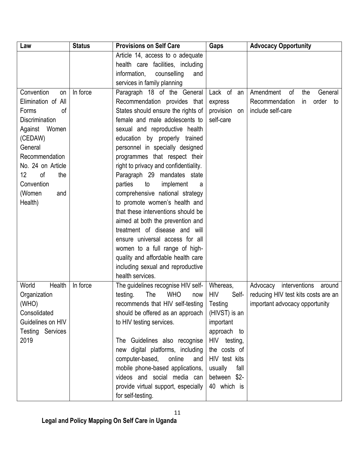| Law                     | <b>Status</b> | <b>Provisions on Self Care</b>        | Gaps                | <b>Advocacy Opportunity</b>         |
|-------------------------|---------------|---------------------------------------|---------------------|-------------------------------------|
|                         |               | Article 14, access to o adequate      |                     |                                     |
|                         |               | health care facilities, including     |                     |                                     |
|                         |               | information,<br>counselling<br>and    |                     |                                     |
|                         |               | services in family planning           |                     |                                     |
| Convention<br>on        | In force      | Paragraph 18 of the General           | Lack of<br>an       | Amendment<br>the<br>General<br>0f   |
| Elimination of All      |               | Recommendation provides that          | express             | Recommendation<br>order<br>in<br>to |
| Forms<br>οf             |               | States should ensure the rights of    | provision<br>on     | include self-care                   |
| <b>Discrimination</b>   |               | female and male adolescents to        | self-care           |                                     |
| Against Women           |               | sexual and reproductive health        |                     |                                     |
| (CEDAW)                 |               | education by properly trained         |                     |                                     |
| General                 |               | personnel in specially designed       |                     |                                     |
| Recommendation          |               | programmes that respect their         |                     |                                     |
| No. 24 on Article       |               | right to privacy and confidentiality. |                     |                                     |
| 12<br>of<br>the         |               | Paragraph 29 mandates state           |                     |                                     |
| Convention              |               | parties<br>implement<br>to<br>a       |                     |                                     |
| (Women<br>and           |               | comprehensive national strategy       |                     |                                     |
| Health)                 |               | to promote women's health and         |                     |                                     |
|                         |               | that these interventions should be    |                     |                                     |
|                         |               | aimed at both the prevention and      |                     |                                     |
|                         |               | treatment of disease and will         |                     |                                     |
|                         |               | ensure universal access for all       |                     |                                     |
|                         |               | women to a full range of high-        |                     |                                     |
|                         |               | quality and affordable health care    |                     |                                     |
|                         |               | including sexual and reproductive     |                     |                                     |
|                         |               | health services.                      |                     |                                     |
| World<br>Health         | In force      | The guidelines recognise HIV self-    | Whereas,            | interventions<br>Advocacy<br>around |
| Organization            |               | <b>WHO</b><br>The<br>testing.<br>now  | <b>HIV</b><br>Self- | reducing HIV test kits costs are an |
| (WHO)                   |               | recommends that HIV self-testing      | Testing             | important advocacy opportunity      |
| Consolidated            |               | should be offered as an approach      | (HIVST) is an       |                                     |
| Guidelines on HIV       |               | to HIV testing services.              | important           |                                     |
| <b>Testing Services</b> |               |                                       | approach to         |                                     |
| 2019                    |               | The Guidelines also recognise         | HIV testing,        |                                     |
|                         |               | new digital platforms, including      | the costs of        |                                     |
|                         |               | computer-based,<br>online<br>and      | HIV test kits       |                                     |
|                         |               | mobile phone-based applications,      | usually<br>fall     |                                     |
|                         |               | videos and social media can           | between \$2-        |                                     |
|                         |               | provide virtual support, especially   | 40 which is         |                                     |
|                         |               | for self-testing.                     |                     |                                     |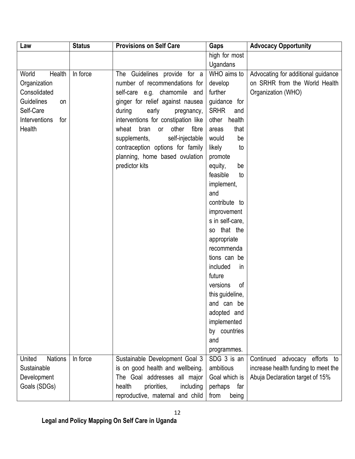| Law                      | <b>Status</b> | <b>Provisions on Self Care</b>        | Gaps               | <b>Advocacy Opportunity</b>         |
|--------------------------|---------------|---------------------------------------|--------------------|-------------------------------------|
|                          |               |                                       | high for most      |                                     |
|                          |               |                                       | Ugandans           |                                     |
| Health<br>World          | In force      | The Guidelines provide for a          | WHO aims to        | Advocating for additional guidance  |
| Organization             |               | number of recommendations for         | develop            | on SRHR from the World Health       |
| Consolidated             |               | self-care e.g. chamomile and          | further            | Organization (WHO)                  |
| <b>Guidelines</b><br>on  |               | ginger for relief against nausea      | guidance for       |                                     |
| Self-Care                |               | during<br>early<br>pregnancy,         | <b>SRHR</b><br>and |                                     |
| Interventions<br>for     |               | interventions for constipation like   | health<br>other    |                                     |
| Health                   |               | bran<br>other<br>fibre<br>wheat<br>or | that<br>areas      |                                     |
|                          |               | self-injectable<br>supplements,       | would<br>be        |                                     |
|                          |               | contraception options for family      | likely<br>to       |                                     |
|                          |               | planning, home based ovulation        | promote            |                                     |
|                          |               | predictor kits                        | equity,<br>be      |                                     |
|                          |               |                                       | feasible<br>to     |                                     |
|                          |               |                                       | implement,         |                                     |
|                          |               |                                       | and                |                                     |
|                          |               |                                       | contribute to      |                                     |
|                          |               |                                       | improvement        |                                     |
|                          |               |                                       | s in self-care,    |                                     |
|                          |               |                                       | that the<br>SO.    |                                     |
|                          |               |                                       | appropriate        |                                     |
|                          |               |                                       | recommenda         |                                     |
|                          |               |                                       | tions can be       |                                     |
|                          |               |                                       | included<br>in     |                                     |
|                          |               |                                       | future             |                                     |
|                          |               |                                       | of<br>versions     |                                     |
|                          |               |                                       | this guideline,    |                                     |
|                          |               |                                       | and can be         |                                     |
|                          |               |                                       | adopted and        |                                     |
|                          |               |                                       | implemented        |                                     |
|                          |               |                                       | by countries       |                                     |
|                          |               |                                       | and                |                                     |
|                          |               |                                       | programmes.        |                                     |
| United<br><b>Nations</b> | In force      | Sustainable Development Goal 3        | SDG 3 is an        | Continued<br>advocacy efforts to    |
| Sustainable              |               | is on good health and wellbeing.      | ambitious          | increase health funding to meet the |
| Development              |               | The Goal addresses all major          | Goal which is      | Abuja Declaration target of 15%     |
| Goals (SDGs)             |               | health<br>priorities,<br>including    | perhaps<br>far     |                                     |
|                          |               | reproductive, maternal and child      | from<br>being      |                                     |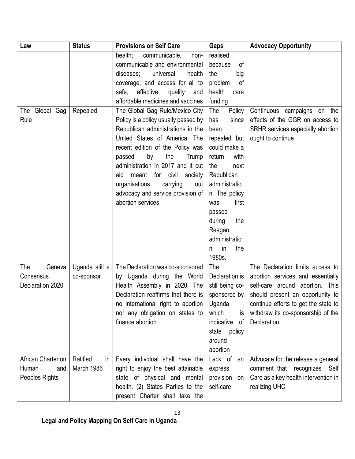| Law                | <b>Status</b>  | <b>Provisions on Self Care</b>          | Gaps             | <b>Advocacy Opportunity</b>          |
|--------------------|----------------|-----------------------------------------|------------------|--------------------------------------|
|                    |                | health;<br>communicable,<br>non-        | realised         |                                      |
|                    |                | communicable and environmental          | of<br>because    |                                      |
|                    |                | universal<br>health<br>diseases:        | the<br>big       |                                      |
|                    |                | coverage; and access for all to         | of<br>problem    |                                      |
|                    |                | safe, effective,<br>quality<br>and      | health<br>care   |                                      |
|                    |                | affordable medicines and vaccines       | funding          |                                      |
| The Global Gag     | Repealed       | The Global Gag Rule/Mexico City         | The<br>Policy    | Continuous campaigns<br>on the       |
| Rule               |                | Policy is a policy usually passed by    | since<br>has     | effects of the GGR on access to      |
|                    |                | Republican administrations in the       | been             | SRHR services especially abortion    |
|                    |                | United States of America. The           | repealed but     | ought to continue                    |
|                    |                | recent edition of the Policy was        | could make a     |                                      |
|                    |                | Trump<br>by<br>the<br>passed            | return<br>with   |                                      |
|                    |                | administration in 2017 and it cut       | the<br>next      |                                      |
|                    |                | meant<br>for<br>civil<br>aid<br>society | Republican       |                                      |
|                    |                | organisations<br>carrying<br>out        | administratio    |                                      |
|                    |                | advocacy and service provision of       | n. The policy    |                                      |
|                    |                | abortion services                       | first<br>was     |                                      |
|                    |                |                                         | passed           |                                      |
|                    |                |                                         | during<br>the    |                                      |
|                    |                |                                         | Reagan           |                                      |
|                    |                |                                         | administratio    |                                      |
|                    |                |                                         | in<br>the<br>n   |                                      |
|                    |                |                                         | 1980s.           |                                      |
| The<br>Geneva      | Uganda still a | The Declaration was co-sponsored        | The              | The Declaration limits access to     |
| Consensus          | co-sponsor     | by Uganda during the World              | Declaration is   | abortion services and essentially    |
| Declaration 2020   |                | Health Assembly in 2020. The            | still being co-  | self-care around abortion.<br>This   |
|                    |                | Declaration reaffirms that there is     | sponsored by     | should present an opportunity to     |
|                    |                | no international right to abortion      | Uganda           | continue efforts to get the state to |
|                    |                | nor any obligation on states to         | which<br>is      | withdraw its co-sponsorship of the   |
|                    |                | finance abortion                        | indicative<br>of | Declaration                          |
|                    |                |                                         | policy<br>state  |                                      |
|                    |                |                                         | around           |                                      |
|                    |                |                                         | abortion         |                                      |
| African Charter on | Ratified<br>in | Every individual shall have the         | Lack of<br>an    | Advocate for the release a general   |
| Human<br>and       | March 1986     | right to enjoy the best attainable      | express          | comment that recognizes Self         |
| Peoples Rights     |                | state of physical and mental            | provision<br>on  | Care as a key health intervention in |
|                    |                | health. (2) States Parties to the       | self-care        | realizing UHC                        |
|                    |                | present Charter shall take the          |                  |                                      |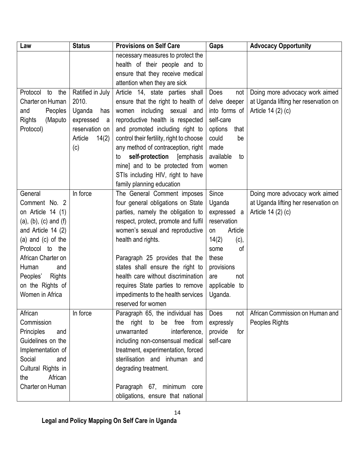| Law                       | <b>Status</b>    | <b>Provisions on Self Care</b>            | Gaps            | <b>Advocacy Opportunity</b>          |
|---------------------------|------------------|-------------------------------------------|-----------------|--------------------------------------|
|                           |                  | necessary measures to protect the         |                 |                                      |
|                           |                  | health of their people and to             |                 |                                      |
|                           |                  | ensure that they receive medical          |                 |                                      |
|                           |                  | attention when they are sick              |                 |                                      |
| the<br>Protocol<br>to     | Ratified in July | Article 14, state parties shall           | Does<br>not     | Doing more advocacy work aimed       |
| Charter on Human          | 2010.            | ensure that the right to health of        | delve deeper    | at Uganda lifting her reservation on |
| Peoples<br>and            | Uganda<br>has    | including<br>sexual<br>women<br>and       | into forms of   | Article 14 (2) (c)                   |
| <b>Rights</b><br>(Maputo  | expressed<br>a   | reproductive health is respected          | self-care       |                                      |
| Protocol)                 | reservation on   | and promoted including right to           | options<br>that |                                      |
|                           | Article<br>14(2) | control their fertility, right to choose  | could<br>be     |                                      |
|                           | (c)              | any method of contraception, right        | made            |                                      |
|                           |                  | self-protection<br><b>[emphasis</b><br>to | available<br>to |                                      |
|                           |                  | mine] and to be protected from            | women           |                                      |
|                           |                  | STIs including HIV, right to have         |                 |                                      |
|                           |                  | family planning education                 |                 |                                      |
| General                   | In force         | The General Comment imposes               | Since           | Doing more advocacy work aimed       |
| Comment No. 2             |                  | four general obligations on State         | Uganda          | at Uganda lifting her reservation on |
| on Article 14 (1)         |                  | parties, namely the obligation to         | expressed a     | Article 14 (2) (c)                   |
| $(a), (b), (c)$ and $(f)$ |                  | respect, protect, promote and fulfil      | reservation     |                                      |
| and Article 14 (2)        |                  | women's sexual and reproductive           | Article<br>on   |                                      |
| (a) and $(c)$ of the      |                  | health and rights.                        | 14(2)<br>(c),   |                                      |
| Protocol to<br>the        |                  |                                           | of<br>some      |                                      |
| African Charter on        |                  | Paragraph 25 provides that the            | these           |                                      |
| Human<br>and              |                  | states shall ensure the right to          | provisions      |                                      |
| Peoples'<br>Rights        |                  | health care without discrimination        | not<br>are      |                                      |
| on the Rights of          |                  | requires State parties to remove          | applicable to   |                                      |
| Women in Africa           |                  | impediments to the health services        | Uganda.         |                                      |
|                           |                  | reserved for women                        |                 |                                      |
| African                   | In force         | Paragraph 65, the individual has          | Does<br>not     | African Commission on Human and      |
| Commission                |                  | right to<br>be free from<br>the           | expressly       | Peoples Rights                       |
| Principles<br>and         |                  | interference,<br>unwarranted              | provide<br>for  |                                      |
| Guidelines on the         |                  | including non-consensual medical          | self-care       |                                      |
| Implementation of         |                  | treatment, experimentation, forced        |                 |                                      |
| Social<br>and             |                  | sterilisation and inhuman and             |                 |                                      |
| Cultural Rights in        |                  | degrading treatment.                      |                 |                                      |
| African<br>the            |                  |                                           |                 |                                      |
| Charter on Human          |                  | Paragraph 67, minimum core                |                 |                                      |
|                           |                  | obligations, ensure that national         |                 |                                      |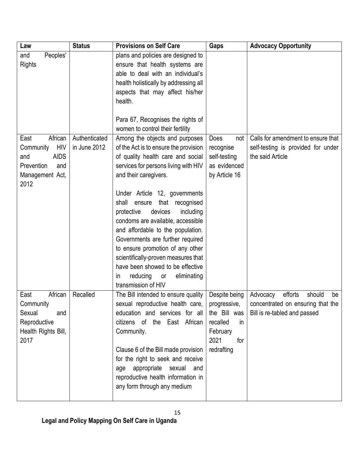| Law                     | <b>Status</b> | <b>Provisions on Self Care</b>                                      | Gaps            | <b>Advocacy Opportunity</b>         |
|-------------------------|---------------|---------------------------------------------------------------------|-----------------|-------------------------------------|
| Peoples'<br>and         |               | plans and policies are designed to                                  |                 |                                     |
| <b>Rights</b>           |               | ensure that health systems are                                      |                 |                                     |
|                         |               | able to deal with an individual's                                   |                 |                                     |
|                         |               | health holistically by addressing all                               |                 |                                     |
|                         |               | aspects that may affect his/her                                     |                 |                                     |
|                         |               | health.                                                             |                 |                                     |
|                         |               | Para 67, Recognises the rights of                                   |                 |                                     |
|                         |               | women to control their fertility                                    |                 |                                     |
| African<br>East         | Authenticated | Among the objects and purposes                                      | Does<br>not     | Calls for amendment to ensure that  |
| <b>HIV</b><br>Community | in June 2012  | of the Act is to ensure the provision                               | recognise       | self-testing is provided for under  |
| <b>AIDS</b><br>and      |               | of quality health care and social                                   | self-testing    | the said Article                    |
| Prevention<br>and       |               | services for persons living with HIV                                | as evidenced    |                                     |
| Management Act,         |               | and their caregivers.                                               | by Article 16   |                                     |
| 2012                    |               |                                                                     |                 |                                     |
|                         |               | Under Article 12, governments<br>shall                              |                 |                                     |
|                         |               | that<br>ensure<br>recognised<br>including<br>protective<br>devices  |                 |                                     |
|                         |               | condoms are available, accessible                                   |                 |                                     |
|                         |               | and affordable to the population.                                   |                 |                                     |
|                         |               | Governments are further required                                    |                 |                                     |
|                         |               | to ensure promotion of any other                                    |                 |                                     |
|                         |               | scientifically-proven measures that                                 |                 |                                     |
|                         |               | have been showed to be effective                                    |                 |                                     |
|                         |               | reducing<br>eliminating<br>or<br>$\mathsf{In}$                      |                 |                                     |
|                         |               | transmission of HIV                                                 |                 |                                     |
| African<br>East         | Recalled      | The Bill intended to ensure quality                                 | Despite being   | efforts<br>Advocacy<br>should<br>be |
| Community               |               | sexual reproductive health care,                                    | progressive,    | concentrated on ensuring that the   |
| Sexual<br>and           |               | education and services for all                                      | the Bill was    | Bill is re-tabled and passed        |
| Reproductive            |               | citizens of the East African                                        | recalled<br>in. |                                     |
| Health Rights Bill,     |               | Community.                                                          | February        |                                     |
| 2017                    |               |                                                                     | 2021<br>for     |                                     |
|                         |               | Clause 6 of the Bill made provision                                 | redrafting      |                                     |
|                         |               | for the right to seek and receive                                   |                 |                                     |
|                         |               | age appropriate sexual<br>and<br>reproductive health information in |                 |                                     |
|                         |               | any form through any medium                                         |                 |                                     |
|                         |               |                                                                     |                 |                                     |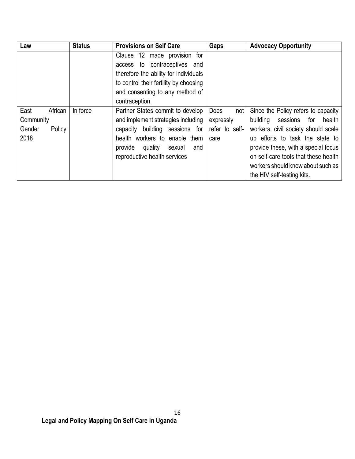| Law                                                      | <b>Status</b> | <b>Provisions on Self Care</b>                                                                                                                                                                                    | Gaps                                                      | <b>Advocacy Opportunity</b>                                                                                                                                                                                                                                                                              |
|----------------------------------------------------------|---------------|-------------------------------------------------------------------------------------------------------------------------------------------------------------------------------------------------------------------|-----------------------------------------------------------|----------------------------------------------------------------------------------------------------------------------------------------------------------------------------------------------------------------------------------------------------------------------------------------------------------|
|                                                          |               | Clause 12 made provision for<br>contraceptives and<br>$\cdot$ to<br>access<br>therefore the ability for individuals<br>to control their fertility by choosing<br>and consenting to any method of<br>contraception |                                                           |                                                                                                                                                                                                                                                                                                          |
| East<br>African<br>Community<br>Gender<br>Policy<br>2018 | In force      | Partner States commit to develop<br>and implement strategies including<br>capacity building sessions for<br>health workers to enable them<br>provide<br>quality<br>sexual<br>and<br>reproductive health services  | <b>Does</b><br>not<br>expressly<br>refer to self-<br>care | Since the Policy refers to capacity<br>building<br>sessions<br>for<br>health<br>workers, civil society should scale<br>up efforts to task the state to<br>provide these, with a special focus<br>on self-care tools that these health<br>workers should know about such as<br>the HIV self-testing kits. |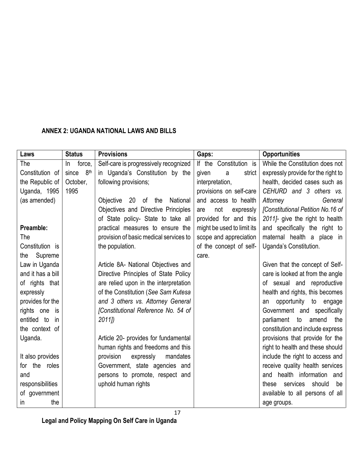# <span id="page-16-0"></span>**ANNEX 2: UGANDA NATIONAL LAWS AND BILLS**

| Laws              | <b>Status</b>            | <b>Provisions</b>                      | Gaps:                      | <b>Opportunities</b>               |
|-------------------|--------------------------|----------------------------------------|----------------------------|------------------------------------|
| The               | force,<br>In             | Self-care is progressively recognized  | If the<br>Constitution is  | While the Constitution does not    |
| Constitution of   | 8 <sup>th</sup><br>since | in Uganda's Constitution by the        | strict<br>given<br>a       | expressly provide for the right to |
| the Republic of   | October,                 | following provisions;                  | interpretation,            | health, decided cases such as      |
| Uganda, 1995      | 1995                     |                                        | provisions on self-care    | CEHURD and 3 others vs.            |
| (as amended)      |                          | National<br>20<br>of the<br>Objective  | and access to health       | Attorney<br>General                |
|                   |                          | Objectives and Directive Principles    | not<br>expressly<br>are    | [Constitutional Petition No.16 of  |
|                   |                          | of State policy- State to take all     | provided for and this      | 2011]- give the right to health    |
| Preamble:         |                          | practical measures to ensure the       | might be used to limit its | and specifically the right to      |
| The               |                          | provision of basic medical services to | scope and appreciation     | maternal health a place in         |
| Constitution is   |                          | the population.                        | of the concept of self-    | Uganda's Constitution.             |
| Supreme<br>the    |                          |                                        | care.                      |                                    |
| Law in Uganda     |                          | Article 8A- National Objectives and    |                            | Given that the concept of Self-    |
| and it has a bill |                          | Directive Principles of State Policy   |                            | care is looked at from the angle   |
| of rights that    |                          | are relied upon in the interpretation  |                            | of sexual and reproductive         |
| expressly         |                          | of the Constitution (See Sam Kutesa    |                            | health and rights, this becomes    |
| provides for the  |                          | and 3 others vs. Attorney General      |                            | opportunity to engage<br>an        |
| rights one is     |                          | [Constitutional Reference No. 54 of    |                            | Government and specifically        |
| entitled to<br>in |                          | 2011                                   |                            | parliament to<br>amend<br>the      |
| the context of    |                          |                                        |                            | constitution and include express   |
| Uganda.           |                          | Article 20- provides for fundamental   |                            | provisions that provide for the    |
|                   |                          | human rights and freedoms and this     |                            | right to health and these should   |
| It also provides  |                          | provision<br>expressly<br>mandates     |                            | include the right to access and    |
| for the roles     |                          | Government, state agencies and         |                            | receive quality health services    |
| and               |                          | persons to promote, respect and        |                            | and health information and         |
| responsibilities  |                          | uphold human rights                    |                            | services<br>should<br>these<br>be  |
| of government     |                          |                                        |                            | available to all persons of all    |
| the<br>in         |                          |                                        |                            | age groups.                        |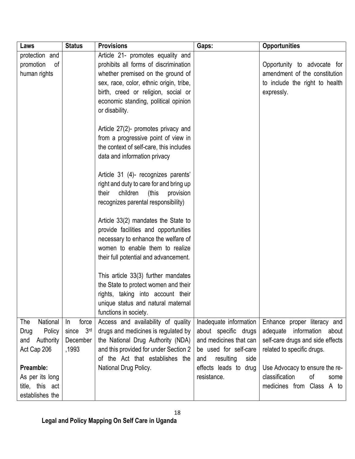| Laws             | <b>Status</b>            | <b>Provisions</b>                       | Gaps:                    | <b>Opportunities</b>             |
|------------------|--------------------------|-----------------------------------------|--------------------------|----------------------------------|
| protection and   |                          | Article 21- promotes equality and       |                          |                                  |
| promotion<br>0f  |                          | prohibits all forms of discrimination   |                          | Opportunity to advocate for      |
| human rights     |                          | whether premised on the ground of       |                          | amendment of the constitution    |
|                  |                          | sex, race, color, ethnic origin, tribe, |                          | to include the right to health   |
|                  |                          | birth, creed or religion, social or     |                          | expressly.                       |
|                  |                          | economic standing, political opinion    |                          |                                  |
|                  |                          | or disability.                          |                          |                                  |
|                  |                          |                                         |                          |                                  |
|                  |                          | Article 27(2)- promotes privacy and     |                          |                                  |
|                  |                          | from a progressive point of view in     |                          |                                  |
|                  |                          | the context of self-care, this includes |                          |                                  |
|                  |                          | data and information privacy            |                          |                                  |
|                  |                          | Article 31 (4)- recognizes parents'     |                          |                                  |
|                  |                          | right and duty to care for and bring up |                          |                                  |
|                  |                          | children<br>(this<br>their<br>provision |                          |                                  |
|                  |                          | recognizes parental responsibility)     |                          |                                  |
|                  |                          |                                         |                          |                                  |
|                  |                          | Article 33(2) mandates the State to     |                          |                                  |
|                  |                          | provide facilities and opportunities    |                          |                                  |
|                  |                          | necessary to enhance the welfare of     |                          |                                  |
|                  |                          | women to enable them to realize         |                          |                                  |
|                  |                          | their full potential and advancement.   |                          |                                  |
|                  |                          |                                         |                          |                                  |
|                  |                          | This article 33(3) further mandates     |                          |                                  |
|                  |                          | the State to protect women and their    |                          |                                  |
|                  |                          | rights, taking into account their       |                          |                                  |
|                  |                          | unique status and natural maternal      |                          |                                  |
|                  |                          | functions in society.                   |                          |                                  |
| National<br>The  | force<br>In              | Access and availability of quality      | Inadequate information   | Enhance proper literacy and      |
| Policy<br>Drug   | 3 <sup>rd</sup><br>since | drugs and medicines is regulated by     | about specific drugs     | adequate information<br>about    |
| Authority<br>and | December                 | the National Drug Authority (NDA)       | and medicines that can   | self-care drugs and side effects |
| Act Cap 206      | ,1993                    | and this provided for under Section 2   | be used for self-care    | related to specific drugs.       |
|                  |                          | of the Act that establishes the         | resulting<br>side<br>and |                                  |
| Preamble:        |                          | National Drug Policy.                   | effects leads to drug    | Use Advocacy to ensure the re-   |
| As per its long  |                          |                                         | resistance.              | classification<br>of<br>some     |
| title, this act  |                          |                                         |                          | medicines from Class A to        |
| establishes the  |                          |                                         |                          |                                  |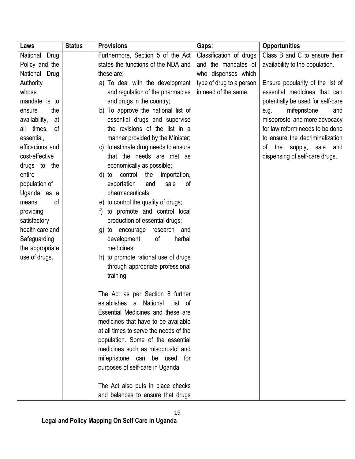| Laws                | <b>Status</b> | <b>Provisions</b>                       | Gaps:                    | <b>Opportunities</b>              |
|---------------------|---------------|-----------------------------------------|--------------------------|-----------------------------------|
| National<br>Drug    |               | Furthermore, Section 5 of the Act       | Classification of drugs  | Class B and C to ensure their     |
| Policy and the      |               | states the functions of the NDA and     | and the mandates of      | availability to the population.   |
| National Drug       |               | these are;                              | who dispenses which      |                                   |
| Authority           |               | a) To deal with the development         | type of drug to a person | Ensure popularity of the list of  |
| whose               |               | and regulation of the pharmacies        | in need of the same.     | essential medicines that can      |
| mandate is to       |               | and drugs in the country;               |                          | potentially be used for self-care |
| the<br>ensure       |               | b) To approve the national list of      |                          | mifepristone<br>e.g.<br>and       |
| availability,<br>at |               | essential drugs and supervise           |                          | misoprostol and more advocacy     |
| all times,<br>0f    |               | the revisions of the list in a          |                          | for law reform needs to be done   |
| essential,          |               | manner provided by the Minister;        |                          | to ensure the decriminalization   |
| efficacious and     |               | c) to estimate drug needs to ensure     |                          | the supply, sale and<br>of        |
| cost-effective      |               | that the needs are met as               |                          | dispensing of self-care drugs.    |
| drugs to the        |               | economically as possible;               |                          |                                   |
| entire              |               | control<br>the<br>importation,<br>d) to |                          |                                   |
| population of       |               | exportation<br>sale<br>of<br>and        |                          |                                   |
| Uganda, as a        |               | pharmaceuticals;                        |                          |                                   |
| οf<br>means         |               | to control the quality of drugs;<br>e)  |                          |                                   |
| providing           |               | to promote and control local<br>f)      |                          |                                   |
| satisfactory        |               | production of essential drugs;          |                          |                                   |
| health care and     |               | to encourage research and<br>g)         |                          |                                   |
| Safeguarding        |               | development<br>of<br>herbal             |                          |                                   |
| the appropriate     |               | medicines;                              |                          |                                   |
| use of drugs.       |               | h) to promote rational use of drugs     |                          |                                   |
|                     |               | through appropriate professional        |                          |                                   |
|                     |               | training;                               |                          |                                   |
|                     |               |                                         |                          |                                   |
|                     |               | The Act as per Section 8 further        |                          |                                   |
|                     |               | establishes a National List of          |                          |                                   |
|                     |               | Essential Medicines and these are       |                          |                                   |
|                     |               | medicines that have to be available     |                          |                                   |
|                     |               | at all times to serve the needs of the  |                          |                                   |
|                     |               | population. Some of the essential       |                          |                                   |
|                     |               | medicines such as misoprostol and       |                          |                                   |
|                     |               | mifepristone can be used for            |                          |                                   |
|                     |               | purposes of self-care in Uganda.        |                          |                                   |
|                     |               |                                         |                          |                                   |
|                     |               | The Act also puts in place checks       |                          |                                   |
|                     |               | and balances to ensure that drugs       |                          |                                   |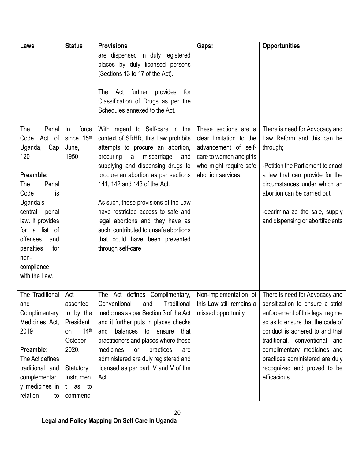| Laws                                                                                                                                                                                                                                                  | <b>Status</b>                                                                                                                              | <b>Provisions</b>                                                                                                                                                                                                                                                                                                                                                                                                                                                                | Gaps:                                                                                                                                              | <b>Opportunities</b>                                                                                                                                                                                                                                                                                                           |
|-------------------------------------------------------------------------------------------------------------------------------------------------------------------------------------------------------------------------------------------------------|--------------------------------------------------------------------------------------------------------------------------------------------|----------------------------------------------------------------------------------------------------------------------------------------------------------------------------------------------------------------------------------------------------------------------------------------------------------------------------------------------------------------------------------------------------------------------------------------------------------------------------------|----------------------------------------------------------------------------------------------------------------------------------------------------|--------------------------------------------------------------------------------------------------------------------------------------------------------------------------------------------------------------------------------------------------------------------------------------------------------------------------------|
|                                                                                                                                                                                                                                                       |                                                                                                                                            | are dispensed in duly registered<br>places by duly licensed persons<br>(Sections 13 to 17 of the Act).<br>Act further<br>The<br>provides<br>for<br>Classification of Drugs as per the<br>Schedules annexed to the Act.                                                                                                                                                                                                                                                           |                                                                                                                                                    |                                                                                                                                                                                                                                                                                                                                |
| The<br>Penal<br>Act of<br>Code<br>Uganda,<br>Cap<br>120<br>Preamble:<br>The<br>Penal<br>Code<br>is<br>Uganda's<br>central<br>penal<br>law. It provides<br>for a list of<br>offenses<br>and<br>penalties<br>for<br>non-<br>compliance<br>with the Law. | force<br>In<br>since 15th<br>June,<br>1950                                                                                                 | With regard to Self-care in the<br>context of SRHR, this Law prohibits<br>attempts to procure an abortion,<br>procuring<br>a<br>miscarriage<br>and<br>supplying and dispensing drugs to<br>procure an abortion as per sections<br>141, 142 and 143 of the Act.<br>As such, these provisions of the Law<br>have restricted access to safe and<br>legal abortions and they have as<br>such, contributed to unsafe abortions<br>that could have been prevented<br>through self-care | These sections are a<br>clear limitation to the<br>advancement of self-<br>care to women and girls<br>who might require safe<br>abortion services. | There is need for Advocacy and<br>Law Reform and this can be<br>through;<br>-Petition the Parliament to enact<br>a law that can provide for the<br>circumstances under which an<br>abortion can be carried out<br>-decriminalize the sale, supply<br>and dispensing or abortifacients                                          |
| The Traditional<br>and<br>Complimentary<br>Medicines Act,<br>2019<br>Preamble:<br>The Act defines<br>traditional and<br>complementar<br>y medicines in<br>relation<br>to                                                                              | Act<br>assented<br>to by the<br>President<br>14 <sup>th</sup><br>on<br>October<br>2020.<br>Statutory<br>Instrumen<br>t as<br>to<br>commenc | The Act defines Complimentary,<br>Conventional<br>Traditional<br>and<br>medicines as per Section 3 of the Act<br>and it further puts in places checks<br>balances to ensure<br>and<br>that<br>practitioners and places where these<br>medicines<br>practices<br>or<br>are<br>administered are duly registered and<br>licensed as per part IV and V of the<br>Act.                                                                                                                | Non-implementation of<br>this Law still remains a<br>missed opportunity                                                                            | There is need for Advocacy and<br>sensitization to ensure a strict<br>enforcement of this legal regime<br>so as to ensure that the code of<br>conduct is adhered to and that<br>traditional, conventional and<br>complimentary medicines and<br>practices administered are duly<br>recognized and proved to be<br>efficacious. |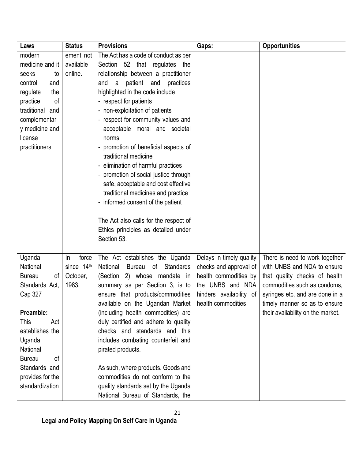| Laws                | <b>Status</b> | <b>Provisions</b>                                   | Gaps:                    | <b>Opportunities</b>              |
|---------------------|---------------|-----------------------------------------------------|--------------------------|-----------------------------------|
| modern              | ement not     | The Act has a code of conduct as per                |                          |                                   |
| medicine and it     | available     | Section 52 that regulates the                       |                          |                                   |
| seeks<br>to         | online.       | relationship between a practitioner                 |                          |                                   |
| control<br>and      |               | patient<br>and<br>practices<br>and<br>a             |                          |                                   |
| regulate<br>the     |               | highlighted in the code include                     |                          |                                   |
| of<br>practice      |               | - respect for patients                              |                          |                                   |
| traditional<br>and  |               | - non-exploitation of patients                      |                          |                                   |
| complementar        |               | - respect for community values and                  |                          |                                   |
| y medicine and      |               | acceptable moral and societal                       |                          |                                   |
| license             |               | norms                                               |                          |                                   |
| practitioners       |               | promotion of beneficial aspects of                  |                          |                                   |
|                     |               | traditional medicine                                |                          |                                   |
|                     |               | elimination of harmful practices                    |                          |                                   |
|                     |               | promotion of social justice through                 |                          |                                   |
|                     |               | safe, acceptable and cost effective                 |                          |                                   |
|                     |               | traditional medicines and practice                  |                          |                                   |
|                     |               | - informed consent of the patient                   |                          |                                   |
|                     |               |                                                     |                          |                                   |
|                     |               | The Act also calls for the respect of               |                          |                                   |
|                     |               | Ethics principles as detailed under                 |                          |                                   |
|                     |               | Section 53.                                         |                          |                                   |
|                     |               |                                                     |                          |                                   |
| Uganda              | force<br>In   | The Act establishes the Uganda                      | Delays in timely quality | There is need to work together    |
| National            | since 14th    | National<br><b>Standards</b><br><b>Bureau</b><br>οf | checks and approval of   | with UNBS and NDA to ensure       |
| <b>Bureau</b><br>of | October,      | (Section 2) whose mandate in                        | health commodities by    | that quality checks of health     |
| Standards Act,      | 1983.         | summary as per Section 3, is to                     | the UNBS and NDA         | commodities such as condoms,      |
| Cap 327             |               | ensure that products/commodities                    | hinders availability of  | syringes etc, and are done in a   |
|                     |               | available on the Ugandan Market                     | health commodities       | timely manner so as to ensure     |
| Preamble:           |               | (including health commodities) are                  |                          | their availability on the market. |
| This<br>Act         |               | duly certified and adhere to quality                |                          |                                   |
| establishes the     |               | checks and standards and this                       |                          |                                   |
| Uganda              |               | includes combating counterfeit and                  |                          |                                   |
| National            |               | pirated products.                                   |                          |                                   |
| <b>Bureau</b><br>of |               |                                                     |                          |                                   |
| Standards and       |               | As such, where products. Goods and                  |                          |                                   |
| provides for the    |               | commodities do not conform to the                   |                          |                                   |
| standardization     |               | quality standards set by the Uganda                 |                          |                                   |
|                     |               | National Bureau of Standards, the                   |                          |                                   |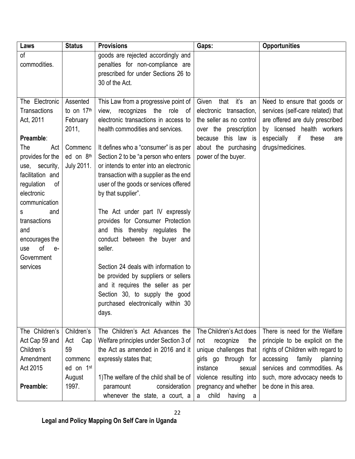| Laws                        | <b>Status</b>         | <b>Provisions</b>                                                        | Gaps:                                             | <b>Opportunities</b>                                          |
|-----------------------------|-----------------------|--------------------------------------------------------------------------|---------------------------------------------------|---------------------------------------------------------------|
| of<br>commodities.          |                       | goods are rejected accordingly and<br>penalties for non-compliance are   |                                                   |                                                               |
|                             |                       | prescribed for under Sections 26 to                                      |                                                   |                                                               |
|                             |                       | 30 of the Act.                                                           |                                                   |                                                               |
|                             |                       |                                                                          |                                                   |                                                               |
| The Electronic              | Assented              | This Law from a progressive point of                                     | that it's<br>Given<br>an                          | Need to ensure that goods or                                  |
| <b>Transactions</b>         | to on 17th            | recognizes<br>the<br>view,<br>role<br>0f                                 | electronic transaction,                           | services (self-care related) that                             |
| Act, 2011                   | February<br>2011,     | electronic transactions in access to<br>health commodities and services. | the seller as no control<br>over the prescription | are offered are duly prescribed<br>by licensed health workers |
| Preamble:                   |                       |                                                                          | because this law is                               | if<br>especially<br>these<br>are                              |
| Act<br>The                  | Commenc               | It defines who a "consumer" is as per                                    | about the purchasing                              | drugs/medicines.                                              |
| provides for the            | ed on 8th             | Section 2 to be "a person who enters                                     | power of the buyer.                               |                                                               |
| use, security,              | <b>July 2011.</b>     | or intends to enter into an electronic                                   |                                                   |                                                               |
| facilitation and            |                       | transaction with a supplier as the end                                   |                                                   |                                                               |
| regulation<br>of            |                       | user of the goods or services offered                                    |                                                   |                                                               |
| electronic<br>communication |                       | by that supplier".                                                       |                                                   |                                                               |
| and<br>s                    |                       | The Act under part IV expressly                                          |                                                   |                                                               |
| transactions                |                       | provides for Consumer Protection                                         |                                                   |                                                               |
| and                         |                       | and this thereby regulates the                                           |                                                   |                                                               |
| encourages the              |                       | conduct between the buyer and                                            |                                                   |                                                               |
| of<br>use<br>$e-$           |                       | seller.                                                                  |                                                   |                                                               |
| Government                  |                       |                                                                          |                                                   |                                                               |
| services                    |                       | Section 24 deals with information to                                     |                                                   |                                                               |
|                             |                       | be provided by suppliers or sellers                                      |                                                   |                                                               |
|                             |                       | and it requires the seller as per                                        |                                                   |                                                               |
|                             |                       | Section 30, to supply the good<br>purchased electronically within 30     |                                                   |                                                               |
|                             |                       | days.                                                                    |                                                   |                                                               |
|                             |                       |                                                                          |                                                   |                                                               |
| The Children's              | Children's            | The Children's Act Advances the                                          | The Children's Act does                           | There is need for the Welfare                                 |
| Act Cap 59 and              | Cap<br>Act            | Welfare principles under Section 3 of                                    | recognize<br>not<br>the                           | principle to be explicit on the                               |
| Children's                  | 59                    | the Act as amended in 2016 and it                                        | unique challenges that                            | rights of Children with regard to                             |
| Amendment                   | commenc               | expressly states that;                                                   | girls go through for                              | accessing<br>family<br>planning                               |
| Act 2015                    | ed on 1 <sup>st</sup> |                                                                          | instance<br>sexual                                | services and commodities. As                                  |
|                             | August                | 1) The welfare of the child shall be of                                  | violence resulting into                           | such, more advocacy needs to                                  |
| Preamble:                   | 1997.                 | consideration<br>paramount                                               | pregnancy and whether                             | be done in this area.                                         |
|                             |                       | whenever the state, a court, a                                           | child<br>having<br>a<br>a                         |                                                               |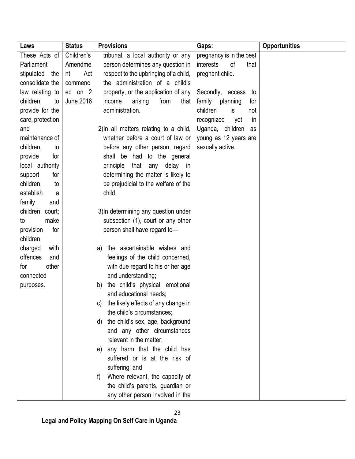| Laws              | <b>Status</b>    | <b>Provisions</b>                         | Gaps:                     | <b>Opportunities</b> |
|-------------------|------------------|-------------------------------------------|---------------------------|----------------------|
| These Acts of     | Children's       | tribunal, a local authority or any        | pregnancy is in the best  |                      |
| Parliament        | Amendme          | person determines any question in         | interests<br>of<br>that   |                      |
| stipulated<br>the | Act<br>nt        | respect to the upbringing of a child,     | pregnant child.           |                      |
| consolidate the   | commenc          | the administration of a child's           |                           |                      |
| law relating to   | ed on 2          | property, or the application of any       | Secondly, access<br>to    |                      |
| children;<br>to   | <b>June 2016</b> | from<br>that<br>income<br>arising         | family<br>planning<br>for |                      |
| provide for the   |                  | administration.                           | children<br>is<br>not     |                      |
| care, protection  |                  |                                           | recognized<br>yet<br>in   |                      |
| and               |                  | 2) In all matters relating to a child,    | Uganda, children<br>as    |                      |
| maintenance of    |                  | whether before a court of law or          | young as 12 years are     |                      |
| children;<br>to   |                  | before any other person, regard           | sexually active.          |                      |
| provide<br>for    |                  | shall be had to the general               |                           |                      |
| local authority   |                  | that any delay in<br>principle            |                           |                      |
| support<br>for    |                  | determining the matter is likely to       |                           |                      |
| children;<br>to   |                  | be prejudicial to the welfare of the      |                           |                      |
| establish<br>a    |                  | child.                                    |                           |                      |
| family<br>and     |                  |                                           |                           |                      |
| children court;   |                  | 3) In determining any question under      |                           |                      |
| make<br>to        |                  | subsection (1), court or any other        |                           |                      |
| provision<br>for  |                  | person shall have regard to-              |                           |                      |
| children          |                  |                                           |                           |                      |
| charged<br>with   |                  | a) the ascertainable wishes and           |                           |                      |
| offences<br>and   |                  | feelings of the child concerned,          |                           |                      |
| other<br>for      |                  | with due regard to his or her age         |                           |                      |
| connected         |                  | and understanding;                        |                           |                      |
| purposes.         |                  | the child's physical, emotional<br>b)     |                           |                      |
|                   |                  | and educational needs;                    |                           |                      |
|                   |                  | the likely effects of any change in<br>C) |                           |                      |
|                   |                  | the child's circumstances;                |                           |                      |
|                   |                  | d) the child's sex, age, background       |                           |                      |
|                   |                  | and any other circumstances               |                           |                      |
|                   |                  | relevant in the matter;                   |                           |                      |
|                   |                  | any harm that the child has<br>e)         |                           |                      |
|                   |                  | suffered or is at the risk of             |                           |                      |
|                   |                  | suffering; and                            |                           |                      |
|                   |                  | Where relevant, the capacity of<br>f)     |                           |                      |
|                   |                  | the child's parents, guardian or          |                           |                      |
|                   |                  | any other person involved in the          |                           |                      |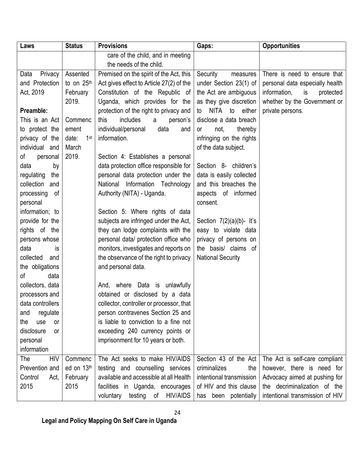| Laws                    | <b>Status</b>            | <b>Provisions</b>                             | Gaps:                        | <b>Opportunities</b>            |
|-------------------------|--------------------------|-----------------------------------------------|------------------------------|---------------------------------|
|                         |                          | care of the child, and in meeting             |                              |                                 |
|                         |                          | the needs of the child.                       |                              |                                 |
| Privacy<br>Data         | Assented                 | Premised on the spirit of the Act, this       | Security<br>measures         | There is need to ensure that    |
| and Protection          | to on 25th               | Act gives effect to Article 27(2) of the      | under Section 23(1) of       | personal data especially health |
| Act, 2019               | February                 | Constitution of the Republic of               | the Act are ambiguous        | information,<br>is<br>protected |
|                         | 2019.                    | Uganda, which provides for the                | as they give discretion      | whether by the Government or    |
| Preamble:               |                          | protection of the right to privacy and        | NITA to<br>either<br>to      | private persons.                |
| This is an Act          | Commenc                  | includes<br>this<br>person's<br>a             | disclose a data breach       |                                 |
| to protect the          | ement                    | individual/personal<br>data<br>and            | not,<br>thereby<br><b>or</b> |                                 |
| privacy of the          | date:<br>1 <sup>st</sup> | information.                                  | infringing on the rights     |                                 |
| individual and          | March                    |                                               | of the data subject.         |                                 |
| of<br>personal          | 2019.                    | Section 4: Establishes a personal             |                              |                                 |
| data<br>by              |                          | data protection office responsible for        | Section 8- children's        |                                 |
| regulating<br>the       |                          | personal data protection under the            | data is easily collected     |                                 |
| collection and          |                          | Information Technology<br>National            | and this breaches the        |                                 |
| processing<br>οf        |                          | Authority (NITA) - Uganda.                    | aspects of informed          |                                 |
| personal                |                          |                                               | consent.                     |                                 |
| information; to         |                          | Section 5: Where rights of data               |                              |                                 |
| provide for the         |                          | subjects are infringed under the Act,         | Section $7(2)(a)(b)$ - It's  |                                 |
| rights of the           |                          | they can lodge complaints with the            | easy to violate data         |                                 |
| persons whose           |                          | personal data/ protection office who          | privacy of persons on        |                                 |
| data<br>is              |                          | monitors, investigates and reports on         | the basis/ claims of         |                                 |
| collected<br>and        |                          | the observance of the right to privacy        | <b>National Security</b>     |                                 |
| the obligations         |                          | and personal data.                            |                              |                                 |
| of<br>data              |                          |                                               |                              |                                 |
| collectors, data        |                          | And, where Data is unlawfully                 |                              |                                 |
| processors and          |                          | obtained or disclosed by a data               |                              |                                 |
| data controllers        |                          | collector, controller or processor, that      |                              |                                 |
| regulate<br>and         |                          | person contravenes Section 25 and             |                              |                                 |
| the<br>use<br>or        |                          | is liable to conviction to a fine not         |                              |                                 |
| disclosure<br><b>or</b> |                          | exceeding 240 currency points or              |                              |                                 |
| personal                |                          | imprisonment for 10 years or both.            |                              |                                 |
| information             |                          |                                               |                              |                                 |
| <b>HIV</b><br>The       | Commenc                  | The Act seeks to make HIV/AIDS                | Section 43 of the Act        | The Act is self-care compliant  |
| Prevention and          | ed on 13th               | testing and counselling services              | criminalizes<br>the          | however, there is need for      |
| Control<br>Act,         | February                 | available and accessible at all Health        | intentional transmission     | Advocacy aimed at pushing for   |
| 2015                    | 2015                     | facilities in Uganda, encourages              | of HIV and this clause       | the decriminalization of the    |
|                         |                          | <b>HIV/AIDS</b><br>voluntary<br>testing<br>of | been potentially<br>has      | intentional transmission of HIV |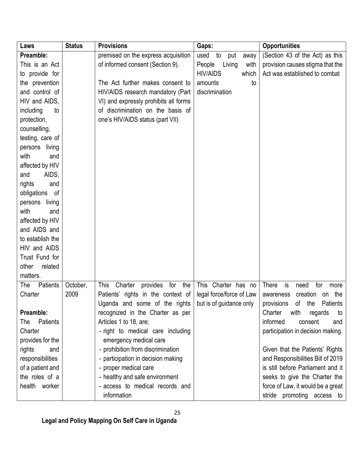| Laws              | <b>Status</b> | <b>Provisions</b>                         | Gaps:                     | <b>Opportunities</b>                |
|-------------------|---------------|-------------------------------------------|---------------------------|-------------------------------------|
| Preamble:         |               | premised on the express acquisition       | used<br>to<br>put<br>away | (Section 43 of the Act) as this     |
| This is an Act    |               | of informed consent (Section 9).          | People<br>Living<br>with  | provision causes stigma that the    |
| to provide for    |               |                                           | <b>HIV/AIDS</b><br>which  | Act was established to combat       |
| the prevention    |               | The Act further makes consent to          | amounts<br>to             |                                     |
| and control of    |               | HIV/AIDS research mandatory (Part         | discrimination            |                                     |
| HIV and AIDS,     |               | VI) and expressly prohibits all forms     |                           |                                     |
| including<br>to   |               | of discrimination on the basis of         |                           |                                     |
| protection,       |               | one's HIV/AIDS status (part VII)          |                           |                                     |
| counselling,      |               |                                           |                           |                                     |
| testing, care of  |               |                                           |                           |                                     |
| living<br>persons |               |                                           |                           |                                     |
| with<br>and       |               |                                           |                           |                                     |
| affected by HIV   |               |                                           |                           |                                     |
| AIDS,<br>and      |               |                                           |                           |                                     |
| rights<br>and     |               |                                           |                           |                                     |
| obligations<br>0f |               |                                           |                           |                                     |
| living<br>persons |               |                                           |                           |                                     |
| with<br>and       |               |                                           |                           |                                     |
| affected by HIV   |               |                                           |                           |                                     |
| and AIDS and      |               |                                           |                           |                                     |
| to establish the  |               |                                           |                           |                                     |
| HIV and AIDS      |               |                                           |                           |                                     |
| Trust Fund for    |               |                                           |                           |                                     |
| other<br>related  |               |                                           |                           |                                     |
| matters.          |               |                                           |                           |                                     |
| Patients<br>The   | October,      | This<br>Charter<br>for<br>the<br>provides | This Charter has no       | There<br>for<br>is<br>need<br>more  |
| Charter           | 2009          | Patients' rights in the context of        | legal force/force of Law  | creation on<br>the<br>awareness     |
|                   |               | Uganda and some of the rights             | but is of guidance only   | Patients<br>provisions<br>of<br>the |
| Preamble:         |               | recognized in the Charter as per          |                           | Charter<br>with<br>regards<br>to    |
| Patients<br>The   |               | Articles 1 to 18, are;                    |                           | informed<br>consent<br>and          |
| Charter           |               | - right to medical care including         |                           | participation in decision making.   |
| provides for the  |               | emergency medical care                    |                           |                                     |
| rights<br>and     |               | - prohibition from discrimination         |                           | Given that the Patients' Rights     |
| responsibilities  |               | - participation in decision making        |                           | and Responsibilities Bill of 2019   |
| of a patient and  |               | - proper medical care                     |                           | is still before Parliament and it   |
| the roles of a    |               | - healthy and safe environment            |                           | seeks to give the Charter the       |
| health worker     |               | - access to medical records and           |                           | force of Law, it would be a great   |
|                   |               | information                               |                           | stride promoting access to          |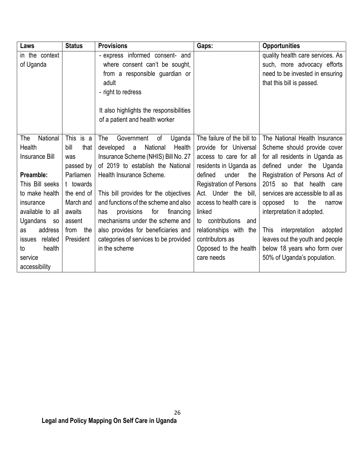| Laws                     | <b>Status</b> | <b>Provisions</b>                       | Gaps:                          | <b>Opportunities</b>                     |
|--------------------------|---------------|-----------------------------------------|--------------------------------|------------------------------------------|
| in the context           |               | - express informed consent- and         |                                | quality health care services. As         |
| of Uganda                |               | where consent can't be sought,          |                                | such, more advocacy efforts              |
|                          |               | from a responsible guardian or          |                                | need to be invested in ensuring          |
|                          |               | adult                                   |                                | that this bill is passed.                |
|                          |               | - right to redress                      |                                |                                          |
|                          |               |                                         |                                |                                          |
|                          |               | It also highlights the responsibilities |                                |                                          |
|                          |               | of a patient and health worker          |                                |                                          |
|                          |               |                                         |                                |                                          |
| National<br>The          | This is a     | Government<br>of<br>Uganda<br>The       | The failure of the bill to     | The National Health Insurance            |
| <b>Health</b>            | bill<br>that  | National<br>Health<br>developed<br>a    | provide for Universal          | Scheme should provide cover              |
| <b>Insurance Bill</b>    | was           | Insurance Scheme (NHIS) Bill No. 27     | access to care for all         | for all residents in Uganda as           |
|                          | passed by     | of 2019 to establish the National       | residents in Uganda as         | defined under the Uganda                 |
| Preamble:                | Parliamen     | Health Insurance Scheme.                | defined<br>under<br>the        | Registration of Persons Act of           |
| This Bill seeks          | t towards     |                                         | <b>Registration of Persons</b> | 2015<br>so that health care              |
| to make health           | the end of    | This bill provides for the objectives   | Act. Under the<br>bill.        | services are accessible to all as        |
| insurance                | March and     | and functions of the scheme and also    | access to health care is       | the<br>opposed<br>to<br>narrow           |
| available to all         | awaits        | provisions<br>for<br>has<br>financing   | linked                         | interpretation it adopted.               |
| Ugandans<br><b>SO</b>    | assent        | mechanisms under the scheme and         | to contributions<br>and        |                                          |
| address<br>as            | the<br>from   | also provides for beneficiaries and     | relationships with the         | interpretation<br><b>This</b><br>adopted |
| related<br><b>issues</b> | President     | categories of services to be provided   | contributors as                | leaves out the youth and people          |
| health<br>to             |               | in the scheme                           | Opposed to the health          | below 18 years who form over             |
| service                  |               |                                         | care needs                     | 50% of Uganda's population.              |
| accessibility            |               |                                         |                                |                                          |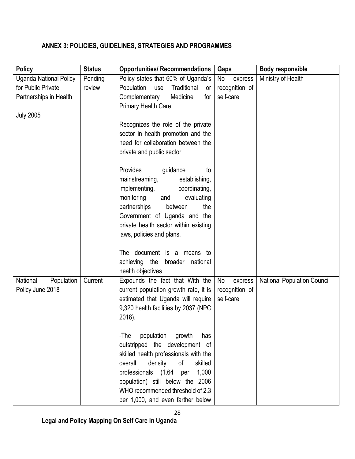# <span id="page-27-0"></span>**ANNEX 3: POLICIES, GUIDELINES, STRATEGIES AND PROGRAMMES**

| <b>Policy</b>                 | <b>Status</b> | <b>Opportunities/ Recommendations</b>                                    | Gaps           | Body responsible                   |
|-------------------------------|---------------|--------------------------------------------------------------------------|----------------|------------------------------------|
| <b>Uganda National Policy</b> | Pending       | Policy states that 60% of Uganda's                                       | No<br>express  | Ministry of Health                 |
| for Public Private            | review        | Population<br>use<br>Traditional<br>or                                   | recognition of |                                    |
| Partnerships in Health        |               | Complementary<br>Medicine<br>for                                         | self-care      |                                    |
|                               |               | <b>Primary Health Care</b>                                               |                |                                    |
| <b>July 2005</b>              |               |                                                                          |                |                                    |
|                               |               | Recognizes the role of the private                                       |                |                                    |
|                               |               | sector in health promotion and the<br>need for collaboration between the |                |                                    |
|                               |               | private and public sector                                                |                |                                    |
|                               |               |                                                                          |                |                                    |
|                               |               | Provides<br>guidance<br>to                                               |                |                                    |
|                               |               | mainstreaming,<br>establishing,                                          |                |                                    |
|                               |               | implementing,<br>coordinating,                                           |                |                                    |
|                               |               | monitoring<br>evaluating<br>and                                          |                |                                    |
|                               |               | partnerships<br>the<br>between                                           |                |                                    |
|                               |               | Government of Uganda and the<br>private health sector within existing    |                |                                    |
|                               |               | laws, policies and plans.                                                |                |                                    |
|                               |               |                                                                          |                |                                    |
|                               |               | The document is a means to                                               |                |                                    |
|                               |               | achieving the broader<br>national                                        |                |                                    |
|                               |               | health objectives                                                        |                |                                    |
| National<br>Population        | Current       | Expounds the fact that With the                                          | No<br>express  | <b>National Population Council</b> |
| Policy June 2018              |               | current population growth rate, it is                                    | recognition of |                                    |
|                               |               | estimated that Uganda will require                                       | self-care      |                                    |
|                               |               | 9,320 health facilities by 2037 (NPC                                     |                |                                    |
|                               |               | 2018).                                                                   |                |                                    |
|                               |               | population growth<br>-The<br>has                                         |                |                                    |
|                               |               | outstripped the development of                                           |                |                                    |
|                               |               | skilled health professionals with the                                    |                |                                    |
|                               |               | density<br>of<br>overall<br>skilled                                      |                |                                    |
|                               |               | professionals (1.64 per<br>1,000                                         |                |                                    |
|                               |               | population) still below the 2006                                         |                |                                    |
|                               |               | WHO recommended threshold of 2.3                                         |                |                                    |
|                               |               | per 1,000, and even farther below                                        |                |                                    |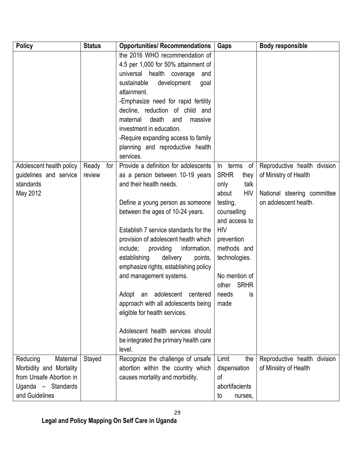| <b>Policy</b>            | <b>Status</b> | <b>Opportunities/ Recommendations</b> | Gaps                 | <b>Body responsible</b>      |
|--------------------------|---------------|---------------------------------------|----------------------|------------------------------|
|                          |               | the 2016 WHO recommendation of        |                      |                              |
|                          |               | 4.5 per 1,000 for 50% attainment of   |                      |                              |
|                          |               | universal health coverage<br>and      |                      |                              |
|                          |               | sustainable<br>development<br>goal    |                      |                              |
|                          |               | attainment.                           |                      |                              |
|                          |               | -Emphasize need for rapid fertility   |                      |                              |
|                          |               | decline, reduction of child and       |                      |                              |
|                          |               | death<br>maternal<br>and<br>massive   |                      |                              |
|                          |               | investment in education.              |                      |                              |
|                          |               | -Require expanding access to family   |                      |                              |
|                          |               | planning and reproductive health      |                      |                              |
|                          |               | services.                             |                      |                              |
| Adolescent health policy | for<br>Ready  | Provide a definition for adolescents  | of<br>$\ln$<br>terms | Reproductive health division |
| guidelines and service   | review        | as a person between 10-19 years       | <b>SRHR</b><br>they  | of Ministry of Health        |
| standards                |               | and their health needs.               | talk<br>only         |                              |
| May 2012                 |               |                                       | <b>HIV</b><br>about  | National steering committee  |
|                          |               | Define a young person as someone      | testing,             | on adolescent health.        |
|                          |               | between the ages of 10-24 years.      | counselling          |                              |
|                          |               |                                       | and access to        |                              |
|                          |               | Establish 7 service standards for the | <b>HIV</b>           |                              |
|                          |               | provision of adolescent health which  | prevention           |                              |
|                          |               | include;<br>providing<br>information, | methods and          |                              |
|                          |               | establishing<br>delivery<br>points,   | technologies.        |                              |
|                          |               | emphasize rights, establishing policy |                      |                              |
|                          |               | and management systems.               | No mention of        |                              |
|                          |               |                                       | <b>SRHR</b><br>other |                              |
|                          |               | Adopt an<br>adolescent centered       | needs<br>is          |                              |
|                          |               | approach with all adolescents being   | made                 |                              |
|                          |               | eligible for health services.         |                      |                              |
|                          |               |                                       |                      |                              |
|                          |               | Adolescent health services should     |                      |                              |
|                          |               | be integrated the primary health care |                      |                              |
|                          |               | level.                                |                      |                              |
| Maternal<br>Reducing     | Stayed        | Recognize the challenge of unsafe     | Limit<br>the         | Reproductive health division |
| Morbidity and Mortality  |               | abortion within the country which     | dispensation         | of Ministry of Health        |
| from Unsafe Abortion in  |               | causes mortality and morbidity.       | of                   |                              |
| Uganda - Standards       |               |                                       | abortifacients       |                              |
| and Guidelines           |               |                                       | to<br>nurses,        |                              |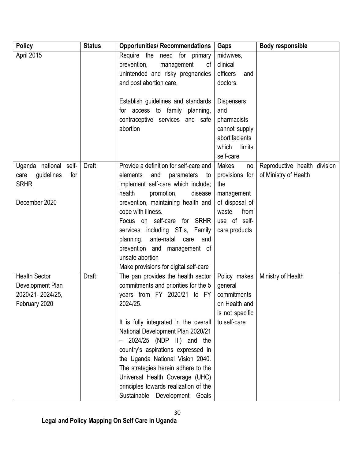| <b>Policy</b>                            | <b>Status</b> | <b>Opportunities/ Recommendations</b>                         | Gaps                         | <b>Body responsible</b>      |
|------------------------------------------|---------------|---------------------------------------------------------------|------------------------------|------------------------------|
| April 2015                               |               | Require the<br>need for primary                               | midwives,                    |                              |
|                                          |               | prevention,<br>management<br>οf                               | clinical                     |                              |
|                                          |               | unintended and risky pregnancies                              | officers<br>and              |                              |
|                                          |               | and post abortion care.                                       | doctors.                     |                              |
|                                          |               |                                                               |                              |                              |
|                                          |               | Establish guidelines and standards                            | <b>Dispensers</b>            |                              |
|                                          |               | for access to family planning,                                | and                          |                              |
|                                          |               | contraceptive services and safe                               | pharmacists                  |                              |
|                                          |               | abortion                                                      | cannot supply                |                              |
|                                          |               |                                                               | abortifacients               |                              |
|                                          |               |                                                               | which<br>limits              |                              |
|                                          |               |                                                               | self-care                    |                              |
| Uganda national self-                    | Draft         | Provide a definition for self-care and<br>elements            | <b>Makes</b><br>no           | Reproductive health division |
| guidelines<br>for<br>care<br><b>SRHR</b> |               | and<br>parameters<br>to<br>implement self-care which include; | provisions for<br>the        | of Ministry of Health        |
|                                          |               | health<br>promotion,<br>disease                               |                              |                              |
| December 2020                            |               | prevention, maintaining health and                            | management<br>of disposal of |                              |
|                                          |               | cope with illness.                                            | from<br>waste                |                              |
|                                          |               | Focus on self-care for SRHR                                   | use of self-                 |                              |
|                                          |               | services including STIs, Family                               | care products                |                              |
|                                          |               | planning,<br>ante-natal care<br>and                           |                              |                              |
|                                          |               | prevention and management of                                  |                              |                              |
|                                          |               | unsafe abortion                                               |                              |                              |
|                                          |               | Make provisions for digital self-care                         |                              |                              |
| <b>Health Sector</b>                     | <b>Draft</b>  | The pan provides the health sector                            | Policy makes                 | Ministry of Health           |
| Development Plan                         |               | commitments and priorities for the 5                          | general                      |                              |
| 2020/21-2024/25,                         |               | years from FY 2020/21 to FY                                   | commitments                  |                              |
| February 2020                            |               | 2024/25.                                                      | on Health and                |                              |
|                                          |               |                                                               | is not specific              |                              |
|                                          |               | It is fully integrated in the overall                         | to self-care                 |                              |
|                                          |               | National Development Plan 2020/21                             |                              |                              |
|                                          |               | 2024/25 (NDP III) and the                                     |                              |                              |
|                                          |               | country's aspirations expressed in                            |                              |                              |
|                                          |               | the Uganda National Vision 2040.                              |                              |                              |
|                                          |               | The strategies herein adhere to the                           |                              |                              |
|                                          |               | Universal Health Coverage (UHC)                               |                              |                              |
|                                          |               | principles towards realization of the                         |                              |                              |
|                                          |               | Sustainable Development Goals                                 |                              |                              |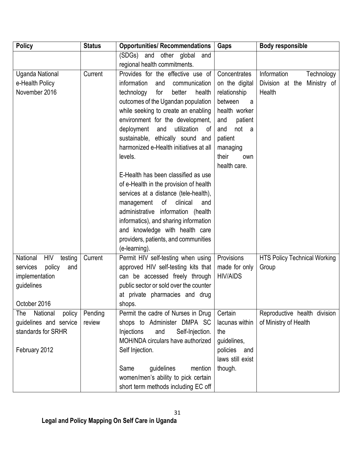| <b>Policy</b>                     | <b>Status</b> | <b>Opportunities/ Recommendations</b>  | Gaps              | <b>Body responsible</b>             |
|-----------------------------------|---------------|----------------------------------------|-------------------|-------------------------------------|
|                                   |               | (SDGs)<br>other global<br>and<br>and   |                   |                                     |
|                                   |               | regional health commitments.           |                   |                                     |
| Uganda National                   | Current       | Provides for the effective use of      | Concentrates      | Information<br>Technology           |
| e-Health Policy                   |               | information<br>communication<br>and    | on the digital    | Division at the Ministry of         |
| November 2016                     |               | technology<br>for<br>better<br>health  | relationship      | Health                              |
|                                   |               | outcomes of the Ugandan population     | between<br>a      |                                     |
|                                   |               | while seeking to create an enabling    | health worker     |                                     |
|                                   |               | environment for the development,       | patient<br>and    |                                     |
|                                   |               | utilization<br>deployment<br>and<br>0f | not<br>and<br>- a |                                     |
|                                   |               | sustainable, ethically sound and       | patient           |                                     |
|                                   |               | harmonized e-Health initiatives at all | managing          |                                     |
|                                   |               | levels.                                | their<br>own      |                                     |
|                                   |               |                                        | health care.      |                                     |
|                                   |               | E-Health has been classified as use    |                   |                                     |
|                                   |               | of e-Health in the provision of health |                   |                                     |
|                                   |               | services at a distance (tele-health),  |                   |                                     |
|                                   |               | of<br>clinical<br>management<br>and    |                   |                                     |
|                                   |               | administrative information (health     |                   |                                     |
|                                   |               | informatics), and sharing information  |                   |                                     |
|                                   |               | and knowledge with health care         |                   |                                     |
|                                   |               | providers, patients, and communities   |                   |                                     |
|                                   |               | (e-learning).                          |                   |                                     |
| National<br><b>HIV</b><br>testing | Current       | Permit HIV self-testing when using     | Provisions        | <b>HTS Policy Technical Working</b> |
| policy<br>services<br>and         |               | approved HIV self-testing kits that    | made for only     | Group                               |
| implementation                    |               | can be accessed freely through         | <b>HIV/AIDS</b>   |                                     |
| guidelines                        |               | public sector or sold over the counter |                   |                                     |
|                                   |               | at private pharmacies and drug         |                   |                                     |
| October 2016                      |               | shops.                                 |                   |                                     |
| National<br>The<br>policy         | Pending       | Permit the cadre of Nurses in Drug     | Certain           | Reproductive health division        |
| guidelines and service            | review        | shops to Administer DMPA SC            | lacunas within    | of Ministry of Health               |
| standards for SRHR                |               | Injections<br>Self-Injection.<br>and   | the               |                                     |
|                                   |               | MOH/NDA circulars have authorized      | guidelines,       |                                     |
| February 2012                     |               | Self Injection.                        | policies<br>and   |                                     |
|                                   |               |                                        | laws still exist  |                                     |
|                                   |               | Same<br>guidelines<br>mention          | though.           |                                     |
|                                   |               | women/men's ability to pick certain    |                   |                                     |
|                                   |               | short term methods including EC off    |                   |                                     |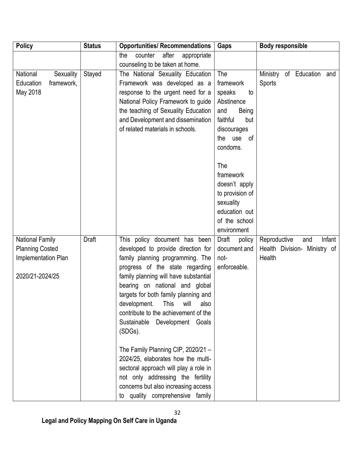| <b>Policy</b>                                    | <b>Status</b> | <b>Opportunities/ Recommendations</b>                                   | Gaps                            | <b>Body responsible</b>                             |
|--------------------------------------------------|---------------|-------------------------------------------------------------------------|---------------------------------|-----------------------------------------------------|
|                                                  |               | after<br>the<br>counter<br>appropriate                                  |                                 |                                                     |
|                                                  |               | counseling to be taken at home.                                         |                                 |                                                     |
| National<br>Sexuality                            | Stayed        | The National Sexuality Education                                        | The                             | Ministry of Education and                           |
| Education<br>framework,                          |               | Framework was developed as a                                            | framework                       | Sports                                              |
| May 2018                                         |               | response to the urgent need for a<br>National Policy Framework to guide | speaks<br>to<br>Abstinence      |                                                     |
|                                                  |               | the teaching of Sexuality Education                                     | and<br><b>Being</b>             |                                                     |
|                                                  |               | and Development and dissemination                                       | faithful<br>but                 |                                                     |
|                                                  |               | of related materials in schools.                                        | discourages                     |                                                     |
|                                                  |               |                                                                         | the<br>use<br>of                |                                                     |
|                                                  |               |                                                                         | condoms.                        |                                                     |
|                                                  |               |                                                                         | The                             |                                                     |
|                                                  |               |                                                                         | framework                       |                                                     |
|                                                  |               |                                                                         | doesn't apply                   |                                                     |
|                                                  |               |                                                                         | to provision of                 |                                                     |
|                                                  |               |                                                                         | sexuality                       |                                                     |
|                                                  |               |                                                                         | education out                   |                                                     |
|                                                  |               |                                                                         | of the school                   |                                                     |
|                                                  | <b>Draft</b>  |                                                                         | environment                     | Infant                                              |
| <b>National Family</b><br><b>Planning Costed</b> |               | This policy document has been<br>developed to provide direction for     | Draft<br>policy<br>document and | Reproductive<br>and<br>Health Division- Ministry of |
| Implementation Plan                              |               | family planning programming. The                                        | not-                            | Health                                              |
|                                                  |               | progress of the state regarding                                         | enforceable.                    |                                                     |
| 2020/21-2024/25                                  |               | family planning will have substantial                                   |                                 |                                                     |
|                                                  |               | bearing on national and global                                          |                                 |                                                     |
|                                                  |               | targets for both family planning and                                    |                                 |                                                     |
|                                                  |               | development.<br>This<br>will<br>also                                    |                                 |                                                     |
|                                                  |               | contribute to the achievement of the                                    |                                 |                                                     |
|                                                  |               | Sustainable<br>Development Goals                                        |                                 |                                                     |
|                                                  |               | (SDGs).                                                                 |                                 |                                                     |
|                                                  |               | The Family Planning CIP, 2020/21 -                                      |                                 |                                                     |
|                                                  |               | 2024/25, elaborates how the multi-                                      |                                 |                                                     |
|                                                  |               | sectoral approach will play a role in                                   |                                 |                                                     |
|                                                  |               | not only addressing the fertility                                       |                                 |                                                     |
|                                                  |               | concerns but also increasing access                                     |                                 |                                                     |
|                                                  |               | to quality comprehensive family                                         |                                 |                                                     |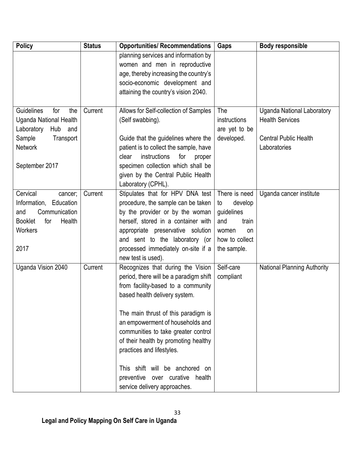| <b>Policy</b>                   | <b>Status</b> | <b>Opportunities/ Recommendations</b>                           | Gaps           | <b>Body responsible</b>            |
|---------------------------------|---------------|-----------------------------------------------------------------|----------------|------------------------------------|
|                                 |               | planning services and information by                            |                |                                    |
|                                 |               | women and men in reproductive                                   |                |                                    |
|                                 |               | age, thereby increasing the country's                           |                |                                    |
|                                 |               | socio-economic development and                                  |                |                                    |
|                                 |               | attaining the country's vision 2040.                            |                |                                    |
|                                 |               |                                                                 |                |                                    |
| Guidelines<br>for<br>the        | Current       | Allows for Self-collection of Samples                           | The            | <b>Uganda National Laboratory</b>  |
| Uganda National Health          |               | (Self swabbing).                                                | instructions   | <b>Health Services</b>             |
| Hub<br>Laboratory<br>and        |               |                                                                 | are yet to be  |                                    |
| Sample<br>Transport             |               | Guide that the guidelines where the                             | developed.     | <b>Central Public Health</b>       |
| <b>Network</b>                  |               | patient is to collect the sample, have<br>instructions<br>clear |                | Laboratories                       |
| September 2017                  |               | for<br>proper<br>specimen collection which shall be             |                |                                    |
|                                 |               | given by the Central Public Health                              |                |                                    |
|                                 |               | Laboratory (CPHL).                                              |                |                                    |
| Cervical<br>cancer;             | Current       | Stipulates that for HPV DNA test                                | There is need  | Uganda cancer institute            |
| Information,<br>Education       |               | procedure, the sample can be taken                              | develop<br>to  |                                    |
| Communication<br>and            |               | by the provider or by the woman                                 | guidelines     |                                    |
| <b>Booklet</b><br>for<br>Health |               | herself, stored in a container with                             | and<br>train   |                                    |
| <b>Workers</b>                  |               | appropriate preservative solution                               | women<br>on    |                                    |
|                                 |               | and sent to the laboratory (or                                  | how to collect |                                    |
| 2017                            |               | processed immediately on-site if a                              | the sample.    |                                    |
|                                 |               | new test is used).                                              |                |                                    |
| Uganda Vision 2040              | Current       | Recognizes that during the Vision                               | Self-care      | <b>National Planning Authority</b> |
|                                 |               | period, there will be a paradigm shift                          | compliant      |                                    |
|                                 |               | from facility-based to a community                              |                |                                    |
|                                 |               | based health delivery system.                                   |                |                                    |
|                                 |               |                                                                 |                |                                    |
|                                 |               | The main thrust of this paradigm is                             |                |                                    |
|                                 |               | an empowerment of households and                                |                |                                    |
|                                 |               | communities to take greater control                             |                |                                    |
|                                 |               | of their health by promoting healthy                            |                |                                    |
|                                 |               | practices and lifestyles.                                       |                |                                    |
|                                 |               |                                                                 |                |                                    |
|                                 |               | This shift will be anchored on                                  |                |                                    |
|                                 |               | preventive over curative health                                 |                |                                    |
|                                 |               | service delivery approaches.                                    |                |                                    |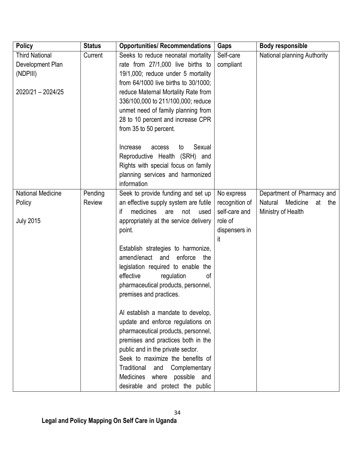| <b>Policy</b>                                                              | <b>Status</b>     | <b>Opportunities/ Recommendations</b>                                                                                                                                                                                                                                                                                                    | Gaps                                                                            | <b>Body responsible</b>                                                              |
|----------------------------------------------------------------------------|-------------------|------------------------------------------------------------------------------------------------------------------------------------------------------------------------------------------------------------------------------------------------------------------------------------------------------------------------------------------|---------------------------------------------------------------------------------|--------------------------------------------------------------------------------------|
| <b>Third National</b><br>Development Plan<br>(NDPIII)<br>2020/21 - 2024/25 | Current           | Seeks to reduce neonatal mortality<br>rate from 27/1,000 live births to<br>19/1,000; reduce under 5 mortality<br>from 64/1000 live births to 30/1000;<br>reduce Maternal Mortality Rate from<br>336/100,000 to 211/100,000; reduce<br>unmet need of family planning from<br>28 to 10 percent and increase CPR<br>from 35 to 50 percent.  | Self-care<br>compliant                                                          | National planning Authority                                                          |
|                                                                            |                   | Sexual<br>Increase<br>to<br>access<br>Reproductive Health (SRH) and<br>Rights with special focus on family<br>planning services and harmonized<br>information                                                                                                                                                                            |                                                                                 |                                                                                      |
| <b>National Medicine</b><br>Policy<br><b>July 2015</b>                     | Pending<br>Review | Seek to provide funding and set up<br>an effective supply system are futile<br>medicines<br>if<br>are<br>not<br>used<br>appropriately at the service delivery<br>point.                                                                                                                                                                  | No express<br>recognition of<br>self-care and<br>role of<br>dispensers in<br>it | Department of Pharmacy and<br>Medicine<br>Natural<br>at<br>the<br>Ministry of Health |
|                                                                            |                   | Establish strategies to harmonize,<br>amend/enact<br>enforce<br>and<br>the<br>legislation required to enable the<br>regulation<br>effective<br>οf<br>pharmaceutical products, personnel,<br>premises and practices.                                                                                                                      |                                                                                 |                                                                                      |
|                                                                            |                   | Al establish a mandate to develop,<br>update and enforce regulations on<br>pharmaceutical products, personnel,<br>premises and practices both in the<br>public and in the private sector.<br>Seek to maximize the benefits of<br>Traditional<br>Complementary<br>and<br>Medicines where possible and<br>desirable and protect the public |                                                                                 |                                                                                      |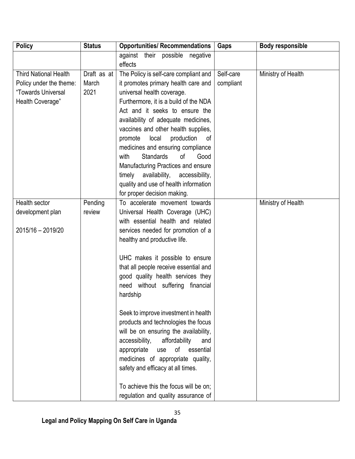| <b>Policy</b>                | <b>Status</b> | <b>Opportunities/ Recommendations</b>         | <b>Gaps</b> | <b>Body responsible</b> |
|------------------------------|---------------|-----------------------------------------------|-------------|-------------------------|
|                              |               | against their possible<br>negative<br>effects |             |                         |
| <b>Third National Health</b> | Draft as at   | The Policy is self-care compliant and         | Self-care   | Ministry of Health      |
| Policy under the theme:      | March         | it promotes primary health care and           | compliant   |                         |
| "Towards Universal           | 2021          | universal health coverage.                    |             |                         |
| Health Coverage"             |               | Furthermore, it is a build of the NDA         |             |                         |
|                              |               | Act and it seeks to ensure the                |             |                         |
|                              |               | availability of adequate medicines,           |             |                         |
|                              |               | vaccines and other health supplies,           |             |                         |
|                              |               | local<br>production<br>promote<br>of          |             |                         |
|                              |               | medicines and ensuring compliance             |             |                         |
|                              |               | <b>Standards</b><br>with<br>0f<br>Good        |             |                         |
|                              |               | Manufacturing Practices and ensure            |             |                         |
|                              |               | availability, accessibility,<br>timely        |             |                         |
|                              |               | quality and use of health information         |             |                         |
|                              |               | for proper decision making.                   |             |                         |
| Health sector                | Pending       | To accelerate movement towards                |             | Ministry of Health      |
| development plan             | review        | Universal Health Coverage (UHC)               |             |                         |
|                              |               | with essential health and related             |             |                         |
| 2015/16 - 2019/20            |               | services needed for promotion of a            |             |                         |
|                              |               | healthy and productive life.                  |             |                         |
|                              |               |                                               |             |                         |
|                              |               | UHC makes it possible to ensure               |             |                         |
|                              |               | that all people receive essential and         |             |                         |
|                              |               | good quality health services they             |             |                         |
|                              |               | without suffering<br>financial<br>need        |             |                         |
|                              |               | hardship                                      |             |                         |
|                              |               | Seek to improve investment in health          |             |                         |
|                              |               | products and technologies the focus           |             |                         |
|                              |               | will be on ensuring the availability,         |             |                         |
|                              |               | affordability<br>accessibility,<br>and        |             |                         |
|                              |               | 0f<br>appropriate<br>essential<br>use         |             |                         |
|                              |               | medicines of appropriate quality,             |             |                         |
|                              |               | safety and efficacy at all times.             |             |                         |
|                              |               |                                               |             |                         |
|                              |               | To achieve this the focus will be on:         |             |                         |
|                              |               | regulation and quality assurance of           |             |                         |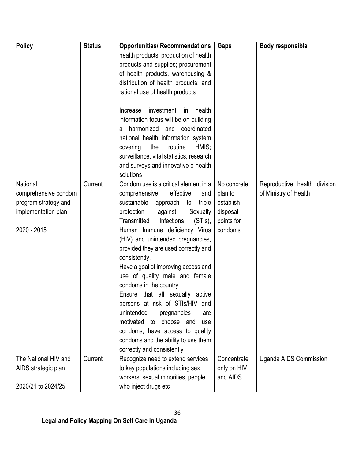| <b>Policy</b>        | <b>Status</b> | <b>Opportunities/ Recommendations</b>    | Gaps        | <b>Body responsible</b>       |
|----------------------|---------------|------------------------------------------|-------------|-------------------------------|
|                      |               | health products; production of health    |             |                               |
|                      |               | products and supplies; procurement       |             |                               |
|                      |               | of health products, warehousing &        |             |                               |
|                      |               | distribution of health products; and     |             |                               |
|                      |               | rational use of health products          |             |                               |
|                      |               | investment<br>health<br>Increase<br>in   |             |                               |
|                      |               | information focus will be on building    |             |                               |
|                      |               | harmonized and coordinated<br>a          |             |                               |
|                      |               | national health information system       |             |                               |
|                      |               | the<br>routine<br>HMIS;<br>covering      |             |                               |
|                      |               | surveillance, vital statistics, research |             |                               |
|                      |               | and surveys and innovative e-health      |             |                               |
|                      |               | solutions                                |             |                               |
| National             | Current       | Condom use is a critical element in a    | No concrete | Reproductive health division  |
| comprehensive condom |               | comprehensive,<br>effective<br>and       | plan to     | of Ministry of Health         |
| program strategy and |               | sustainable approach<br>to<br>triple     | establish   |                               |
| implementation plan  |               | protection<br>against<br>Sexually        | disposal    |                               |
|                      |               | Transmitted<br>Infections<br>(STIs),     | points for  |                               |
| 2020 - 2015          |               | Human Immune deficiency Virus            | condoms     |                               |
|                      |               | (HIV) and unintended pregnancies,        |             |                               |
|                      |               | provided they are used correctly and     |             |                               |
|                      |               | consistently.                            |             |                               |
|                      |               | Have a goal of improving access and      |             |                               |
|                      |               | use of quality male and female           |             |                               |
|                      |               | condoms in the country                   |             |                               |
|                      |               | Ensure that all sexually active          |             |                               |
|                      |               | persons at risk of STIs/HIV and          |             |                               |
|                      |               | unintended<br>pregnancies<br>are         |             |                               |
|                      |               | motivated to choose and<br>use           |             |                               |
|                      |               | condoms, have access to quality          |             |                               |
|                      |               | condoms and the ability to use them      |             |                               |
|                      |               | correctly and consistently               |             |                               |
| The National HIV and | Current       | Recognize need to extend services        | Concentrate | <b>Uganda AIDS Commission</b> |
| AIDS strategic plan  |               | to key populations including sex         | only on HIV |                               |
|                      |               | workers, sexual minorities, people       | and AIDS    |                               |
| 2020/21 to 2024/25   |               | who inject drugs etc                     |             |                               |